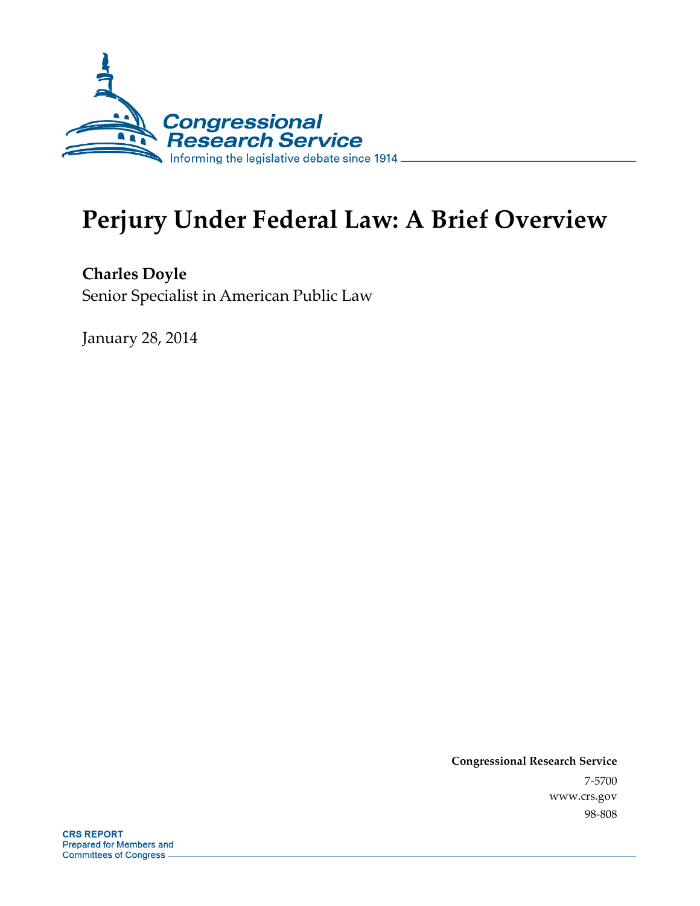

# **Perjury Under Federal Law: A Brief Overview**

**Charles Doyle**  Senior Specialist in American Public Law

January 28, 2014

**Congressional Research Service**  7-5700 www.crs.gov 98-808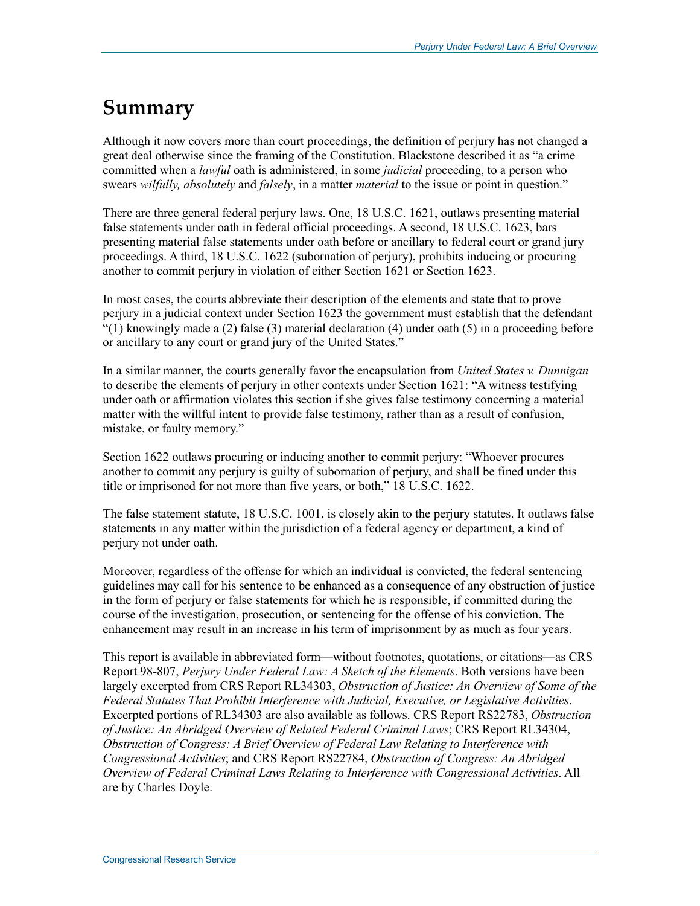## **Summary**

Although it now covers more than court proceedings, the definition of perjury has not changed a great deal otherwise since the framing of the Constitution. Blackstone described it as "a crime committed when a *lawful* oath is administered, in some *judicial* proceeding, to a person who swears *wilfully, absolutely* and *falsely*, in a matter *material* to the issue or point in question."

There are three general federal perjury laws. One, 18 U.S.C. 1621, outlaws presenting material false statements under oath in federal official proceedings. A second, 18 U.S.C. 1623, bars presenting material false statements under oath before or ancillary to federal court or grand jury proceedings. A third, 18 U.S.C. 1622 (subornation of perjury), prohibits inducing or procuring another to commit perjury in violation of either Section 1621 or Section 1623.

In most cases, the courts abbreviate their description of the elements and state that to prove perjury in a judicial context under Section 1623 the government must establish that the defendant  $(1)$  knowingly made a (2) false (3) material declaration (4) under oath (5) in a proceeding before or ancillary to any court or grand jury of the United States."

In a similar manner, the courts generally favor the encapsulation from *United States v. Dunnigan* to describe the elements of perjury in other contexts under Section 1621: "A witness testifying under oath or affirmation violates this section if she gives false testimony concerning a material matter with the willful intent to provide false testimony, rather than as a result of confusion, mistake, or faulty memory."

Section 1622 outlaws procuring or inducing another to commit perjury: "Whoever procures another to commit any perjury is guilty of subornation of perjury, and shall be fined under this title or imprisoned for not more than five years, or both," 18 U.S.C. 1622.

The false statement statute, 18 U.S.C. 1001, is closely akin to the perjury statutes. It outlaws false statements in any matter within the jurisdiction of a federal agency or department, a kind of perjury not under oath.

Moreover, regardless of the offense for which an individual is convicted, the federal sentencing guidelines may call for his sentence to be enhanced as a consequence of any obstruction of justice in the form of perjury or false statements for which he is responsible, if committed during the course of the investigation, prosecution, or sentencing for the offense of his conviction. The enhancement may result in an increase in his term of imprisonment by as much as four years.

This report is available in abbreviated form—without footnotes, quotations, or citations—as CRS Report 98-807, *Perjury Under Federal Law: A Sketch of the Elements*. Both versions have been largely excerpted from CRS Report RL34303, *Obstruction of Justice: An Overview of Some of the Federal Statutes That Prohibit Interference with Judicial, Executive, or Legislative Activities*. Excerpted portions of RL34303 are also available as follows. CRS Report RS22783, *Obstruction of Justice: An Abridged Overview of Related Federal Criminal Laws*; CRS Report RL34304, *Obstruction of Congress: A Brief Overview of Federal Law Relating to Interference with Congressional Activities*; and CRS Report RS22784, *Obstruction of Congress: An Abridged Overview of Federal Criminal Laws Relating to Interference with Congressional Activities*. All are by Charles Doyle.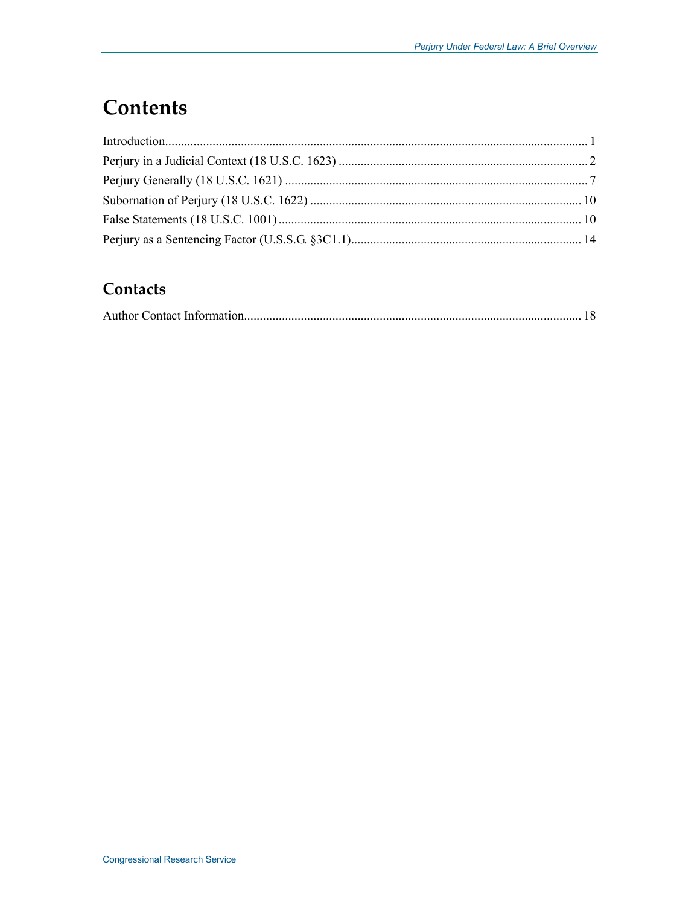# **Contents**

#### Contacts

|--|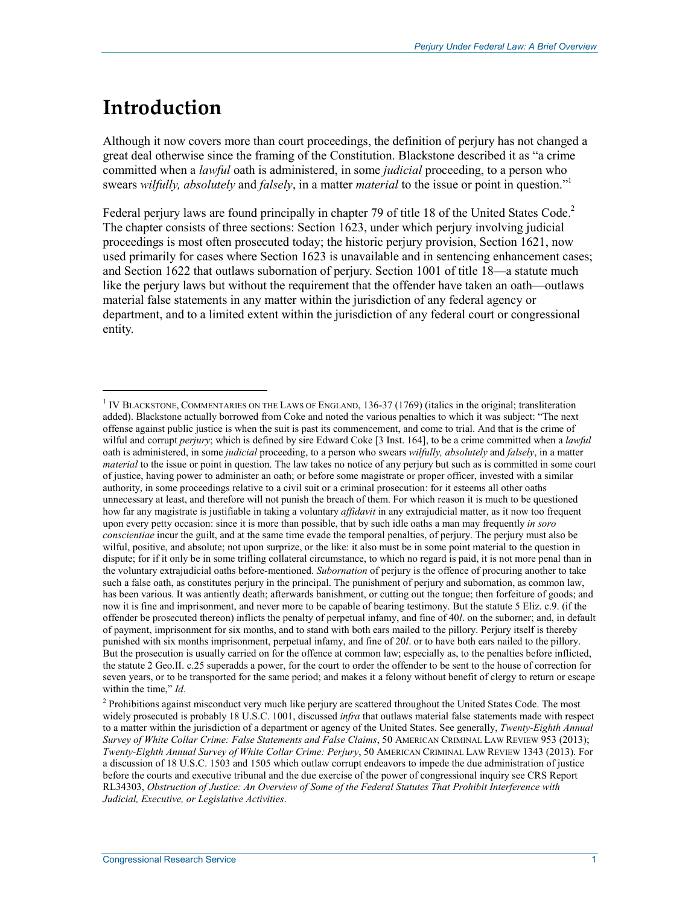# **Introduction**

 $\overline{a}$ 

Although it now covers more than court proceedings, the definition of perjury has not changed a great deal otherwise since the framing of the Constitution. Blackstone described it as "a crime committed when a *lawful* oath is administered, in some *judicial* proceeding, to a person who swears *wilfully, absolutely* and *falsely*, in a matter *material* to the issue or point in question."1

Federal perjury laws are found principally in chapter 79 of title 18 of the United States Code.<sup>2</sup> The chapter consists of three sections: Section 1623, under which perjury involving judicial proceedings is most often prosecuted today; the historic perjury provision, Section 1621, now used primarily for cases where Section 1623 is unavailable and in sentencing enhancement cases; and Section 1622 that outlaws subornation of perjury. Section 1001 of title 18—a statute much like the perjury laws but without the requirement that the offender have taken an oath—outlaws material false statements in any matter within the jurisdiction of any federal agency or department, and to a limited extent within the jurisdiction of any federal court or congressional entity.

<sup>1</sup> IV BLACKSTONE, COMMENTARIES ON THE LAWS OF ENGLAND, 136-37 (1769) (italics in the original; transliteration added). Blackstone actually borrowed from Coke and noted the various penalties to which it was subject: "The next offense against public justice is when the suit is past its commencement, and come to trial. And that is the crime of wilful and corrupt *perjury*; which is defined by sire Edward Coke [3 Inst. 164], to be a crime committed when a *lawful* oath is administered, in some *judicial* proceeding, to a person who swears *wilfully, absolutely* and *falsely*, in a matter *material* to the issue or point in question. The law takes no notice of any perjury but such as is committed in some court of justice, having power to administer an oath; or before some magistrate or proper officer, invested with a similar authority, in some proceedings relative to a civil suit or a criminal prosecution: for it esteems all other oaths unnecessary at least, and therefore will not punish the breach of them. For which reason it is much to be questioned how far any magistrate is justifiable in taking a voluntary *affidavit* in any extrajudicial matter, as it now too frequent upon every petty occasion: since it is more than possible, that by such idle oaths a man may frequently *in soro conscientiae* incur the guilt, and at the same time evade the temporal penalties, of perjury. The perjury must also be wilful, positive, and absolute; not upon surprize, or the like: it also must be in some point material to the question in dispute; for if it only be in some trifling collateral circumstance, to which no regard is paid, it is not more penal than in the voluntary extrajudicial oaths before-mentioned. *Subornation* of perjury is the offence of procuring another to take such a false oath, as constitutes perjury in the principal. The punishment of perjury and subornation, as common law, has been various. It was antiently death; afterwards banishment, or cutting out the tongue; then forfeiture of goods; and now it is fine and imprisonment, and never more to be capable of bearing testimony. But the statute 5 Eliz. c.9. (if the offender be prosecuted thereon) inflicts the penalty of perpetual infamy, and fine of 40*l*. on the suborner; and, in default of payment, imprisonment for six months, and to stand with both ears mailed to the pillory. Perjury itself is thereby punished with six months imprisonment, perpetual infamy, and fine of 20*l*. or to have both ears nailed to the pillory. But the prosecution is usually carried on for the offence at common law; especially as, to the penalties before inflicted, the statute 2 Geo.II. c.25 superadds a power, for the court to order the offender to be sent to the house of correction for seven years, or to be transported for the same period; and makes it a felony without benefit of clergy to return or escape within the time," *Id.*

<sup>&</sup>lt;sup>2</sup> Prohibitions against misconduct very much like perjury are scattered throughout the United States Code. The most widely prosecuted is probably 18 U.S.C. 1001, discussed *infra* that outlaws material false statements made with respect to a matter within the jurisdiction of a department or agency of the United States. See generally, *Twenty-Eighth Annual Survey of White Collar Crime: False Statements and False Claims*, 50 AMERICAN CRIMINAL LAW REVIEW 953 (2013); *Twenty-Eighth Annual Survey of White Collar Crime: Perjury*, 50 AMERICAN CRIMINAL LAW REVIEW 1343 (2013). For a discussion of 18 U.S.C. 1503 and 1505 which outlaw corrupt endeavors to impede the due administration of justice before the courts and executive tribunal and the due exercise of the power of congressional inquiry see CRS Report RL34303, *Obstruction of Justice: An Overview of Some of the Federal Statutes That Prohibit Interference with Judicial, Executive, or Legislative Activities*.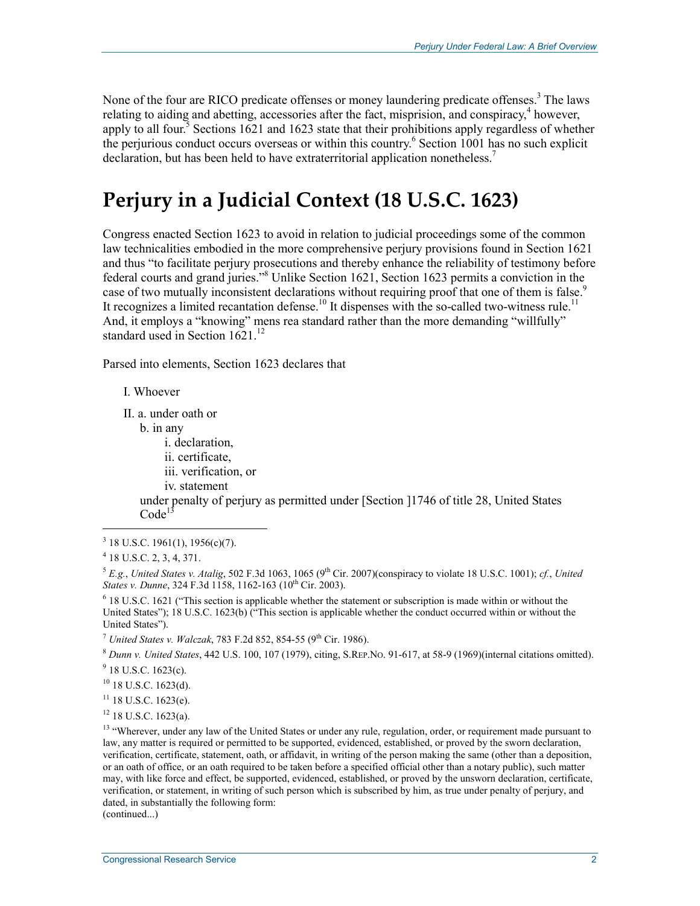None of the four are RICO predicate offenses or money laundering predicate offenses.<sup>3</sup> The laws relating to aiding and abetting, accessories after the fact, misprision, and conspiracy, $4$  however, apply to all four.<sup>5</sup> Sections 1621 and 1623 state that their prohibitions apply regardless of whether the perjurious conduct occurs overseas or within this country.<sup>6</sup> Section 1001 has no such explicit declaration, but has been held to have extraterritorial application nonetheless.<sup>7</sup>

### **Perjury in a Judicial Context (18 U.S.C. 1623)**

Congress enacted Section 1623 to avoid in relation to judicial proceedings some of the common law technicalities embodied in the more comprehensive perjury provisions found in Section 1621 and thus "to facilitate perjury prosecutions and thereby enhance the reliability of testimony before federal courts and grand juries."8 Unlike Section 1621, Section 1623 permits a conviction in the case of two mutually inconsistent declarations without requiring proof that one of them is false.<sup>9</sup> It recognizes a limited recantation defense.<sup>10</sup> It dispenses with the so-called two-witness rule.<sup>11</sup> And, it employs a "knowing" mens rea standard rather than the more demanding "willfully" standard used in Section  $1621$ <sup>12</sup>

Parsed into elements, Section 1623 declares that

I. Whoever

II. a. under oath or

b. in any

i. declaration,

ii. certificate,

iii. verification, or

iv. statement

under penalty of perjury as permitted under [Section ]1746 of title 28, United States  $Code<sup>1</sup>$ 

1

<sup>7</sup> *United States v. Walczak*, 783 F.2d 852, 854-55 (9th Cir. 1986).

<sup>8</sup> *Dunn v. United States*, 442 U.S. 100, 107 (1979), citing, S.REP.NO. 91-617, at 58-9 (1969)(internal citations omitted).

 $9$  18 U.S.C. 1623(c).

<sup>10</sup> 18 U.S.C. 1623(d).

 $11$  18 U.S.C. 1623(e).

12 18 U.S.C. 1623(a).

(continued...)

 $3$  18 U.S.C. 1961(1), 1956(c)(7).

<sup>4</sup> 18 U.S.C. 2, 3, 4, 371.

<sup>&</sup>lt;sup>5</sup> E.g., *United States v. Atalig*, 502 F.3d 1063, 1065 (9<sup>th</sup> Cir. 2007)(conspiracy to violate 18 U.S.C. 1001); *cf.*, *United States v. Dunne*, 324 F.3d 1158, 1162-163 (10<sup>th</sup> Cir. 2003).

<sup>&</sup>lt;sup>6</sup> 18 U.S.C. 1621 ("This section is applicable whether the statement or subscription is made within or without the United States"); 18 U.S.C. 1623(b) ("This section is applicable whether the conduct occurred within or without the United States").

<sup>&</sup>lt;sup>13</sup> "Wherever, under any law of the United States or under any rule, regulation, order, or requirement made pursuant to law, any matter is required or permitted to be supported, evidenced, established, or proved by the sworn declaration, verification, certificate, statement, oath, or affidavit, in writing of the person making the same (other than a deposition, or an oath of office, or an oath required to be taken before a specified official other than a notary public), such matter may, with like force and effect, be supported, evidenced, established, or proved by the unsworn declaration, certificate, verification, or statement, in writing of such person which is subscribed by him, as true under penalty of perjury, and dated, in substantially the following form: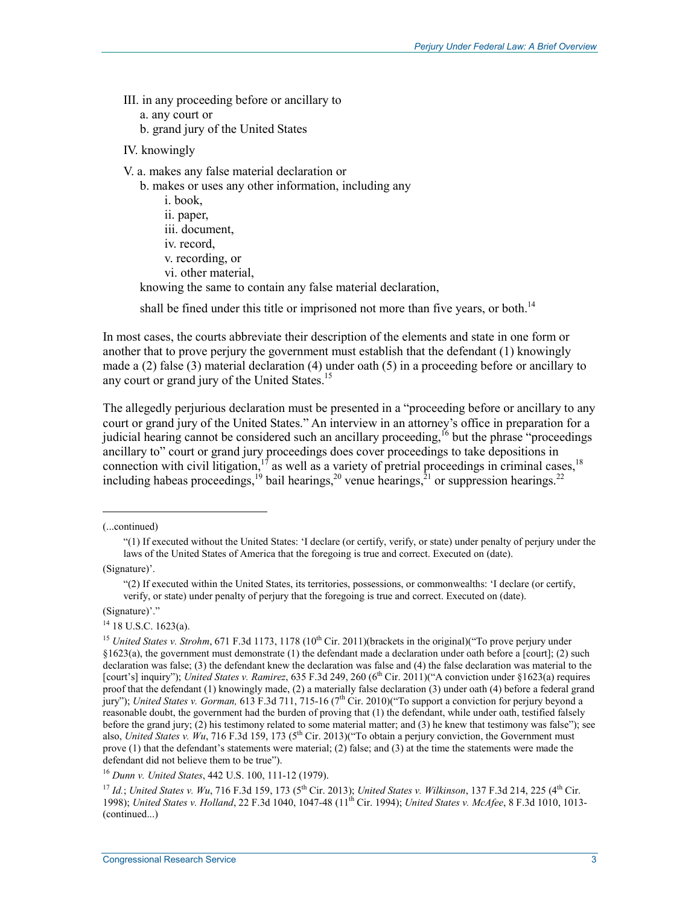- III. in any proceeding before or ancillary to
	- a. any court or
	- b. grand jury of the United States
- IV. knowingly
- V. a. makes any false material declaration or
	- b. makes or uses any other information, including any
	- i. book, ii. paper, iii. document, iv. record, v. recording, or vi. other material, knowing the same to contain any false material declaration,

shall be fined under this title or imprisoned not more than five years, or both.<sup>14</sup>

In most cases, the courts abbreviate their description of the elements and state in one form or another that to prove perjury the government must establish that the defendant (1) knowingly made a (2) false (3) material declaration (4) under oath (5) in a proceeding before or ancillary to any court or grand jury of the United States.<sup>15</sup>

The allegedly perjurious declaration must be presented in a "proceeding before or ancillary to any court or grand jury of the United States." An interview in an attorney's office in preparation for a judicial hearing cannot be considered such an ancillary proceeding,<sup>16</sup> but the phrase "proceedings" ancillary to" court or grand jury proceedings does cover proceedings to take depositions in connection with civil litigation,<sup>17</sup> as well as a variety of pretrial proceedings in criminal cases,<sup>18</sup> including habeas proceedings,<sup>19</sup> bail hearings,<sup>20</sup> venue hearings,<sup>21</sup> or suppression hearings.<sup>22</sup>

(...continued)

1

(Signature)'.

"(2) If executed within the United States, its territories, possessions, or commonwealths: 'I declare (or certify, verify, or state) under penalty of perjury that the foregoing is true and correct. Executed on (date).

(Signature)'."

 $14$  18 U.S.C. 1623(a).

<sup>16</sup> *Dunn v. United States*, 442 U.S. 100, 111-12 (1979).

<sup>17</sup> *Id.*; *United States v. Wu*, 716 F.3d 159, 173 (5th Cir. 2013); *United States v. Wilkinson*, 137 F.3d 214, 225 (4th Cir. 1998); *United States v. Holland*, 22 F.3d 1040, 1047-48 (11th Cir. 1994); *United States v. McAfee*, 8 F.3d 1010, 1013- (continued...)

<sup>&</sup>quot;(1) If executed without the United States: 'I declare (or certify, verify, or state) under penalty of perjury under the laws of the United States of America that the foregoing is true and correct. Executed on (date).

<sup>&</sup>lt;sup>15</sup> *United States v. Strohm*, 671 F.3d 1173, 1178 (10<sup>th</sup> Cir. 2011)(brackets in the original)("To prove perjury under  $§1623(a)$ , the government must demonstrate (1) the defendant made a declaration under oath before a [court]; (2) such declaration was false; (3) the defendant knew the declaration was false and (4) the false declaration was material to the [court's] inquiry"); *United States v. Ramirez*, 635 F.3d 249, 260 (6<sup>th</sup> Cir. 2011)("A conviction under §1623(a) requires proof that the defendant (1) knowingly made, (2) a materially false declaration (3) under oath (4) before a federal grand jury"); *United States v. Gorman,* 613 F.3d 711, 715-16 (7th Cir. 2010)("To support a conviction for perjury beyond a reasonable doubt, the government had the burden of proving that (1) the defendant, while under oath, testified falsely before the grand jury; (2) his testimony related to some material matter; and (3) he knew that testimony was false"); see also, *United States v. Wu*, 716 F.3d 159, 173 (5<sup>th</sup> Cir. 2013)("To obtain a perjury conviction, the Government must prove (1) that the defendant's statements were material; (2) false; and (3) at the time the statements were made the defendant did not believe them to be true").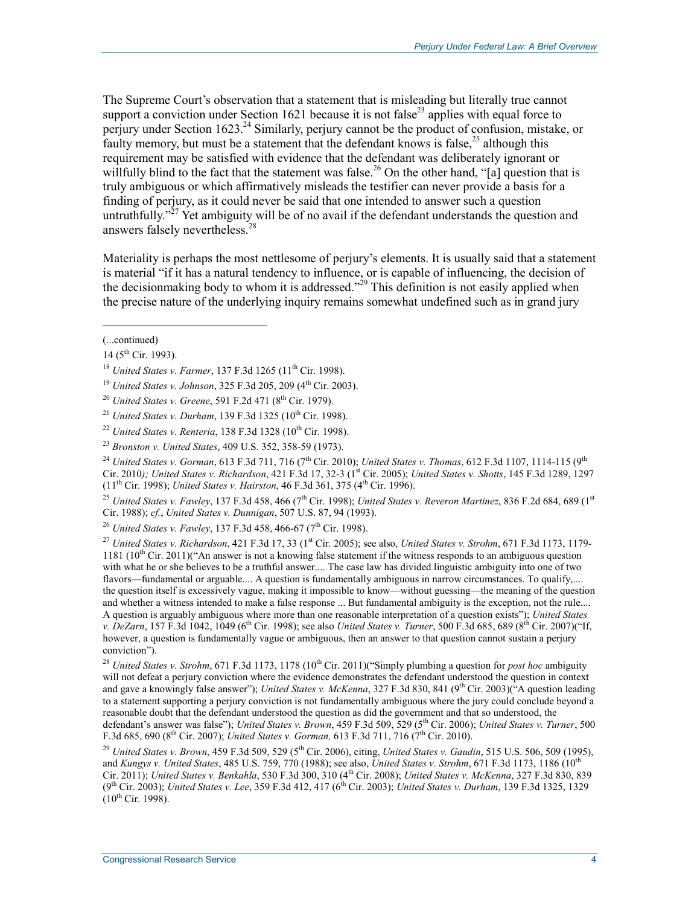The Supreme Court's observation that a statement that is misleading but literally true cannot support a conviction under Section 1621 because it is not false<sup>23</sup> applies with equal force to perjury under Section 1623.<sup>24</sup> Similarly, perjury cannot be the product of confusion, mistake, or faulty memory, but must be a statement that the defendant knows is false,  $^{25}$  although this requirement may be satisfied with evidence that the defendant was deliberately ignorant or willfully blind to the fact that the statement was false.<sup>26</sup> On the other hand, "[a] question that is truly ambiguous or which affirmatively misleads the testifier can never provide a basis for a finding of perjury, as it could never be said that one intended to answer such a question untruthfully."<sup> $27$ </sup> Yet ambiguity will be of no avail if the defendant understands the question and answers falsely nevertheless.28

Materiality is perhaps the most nettlesome of perjury's elements. It is usually said that a statement is material "if it has a natural tendency to influence, or is capable of influencing, the decision of the decisionmaking body to whom it is addressed."<sup>29</sup> This definition is not easily applied when the precise nature of the underlying inquiry remains somewhat undefined such as in grand jury

 $\overline{a}$ 

<sup>24</sup> *United States v. Gorman, 613 F.3d 711, 716 (7<sup>th</sup> Cir. 2010); <i>United States v. Thomas, 612 F.3d 1107, 1114-115* (9<sup>th</sup> Cir. 2010*); United States v. Richardson*, 421 F.3d 17, 32-3 (1st Cir. 2005); *United States v. Shotts*, 145 F.3d 1289, 1297 (11th Cir. 1998); *United States v. Hairston*, 46 F.3d 361, 375 (4th Cir. 1996).

<sup>25</sup> *United States v. Fawley, 137 F.3d 458, 466 (7<sup>th</sup> Cir. 1998); <i>United States v. Reveron Martinez*, 836 F.2d 684, 689 (1<sup>st</sup> Cir. 1988); *cf.*, *United States v. Dunnigan*, 507 U.S. 87, 94 (1993).

<sup>26</sup> *United States v. Fawley*, 137 F.3d 458, 466-67 (7<sup>th</sup> Cir. 1998).

<sup>27</sup> *United States v. Richardson*, 421 F.3d 17, 33 (1st Cir. 2005); see also, *United States v. Strohm*, 671 F.3d 1173, 1179- 1181 (10<sup>th</sup> Cir. 2011)("An answer is not a knowing false statement if the witness responds to an ambiguous question with what he or she believes to be a truthful answer.... The case law has divided linguistic ambiguity into one of two flavors—fundamental or arguable.... A question is fundamentally ambiguous in narrow circumstances. To qualify,.... the question itself is excessively vague, making it impossible to know—without guessing—the meaning of the question and whether a witness intended to make a false response ... But fundamental ambiguity is the exception, not the rule.... A question is arguably ambiguous where more than one reasonable interpretation of a question exists"); *United States v. DeZarn*, 157 F.3d 1042, 1049 (6<sup>th</sup> Cir. 1998); see also *United States v. Turner*, 500 F.3d 685, 689 (8<sup>th</sup> Cir. 2007)("If, however, a question is fundamentally vague or ambiguous, then an answer to that question cannot sustain a perjury conviction").

<sup>28</sup> *United States v. Strohm*, 671 F.3d 1173, 1178 (10<sup>th</sup> Cir. 2011)("Simply plumbing a question for *post hoc* ambiguity will not defeat a perjury conviction where the evidence demonstrates the defendant understood the question in context and gave a knowingly false answer"); *United States v. McKenna*, 327 F.3d 830, 841 (9<sup>th</sup> Cir. 2003)(<sup>"A</sup> question leading to a statement supporting a perjury conviction is not fundamentally ambiguous where the jury could conclude beyond a reasonable doubt that the defendant understood the question as did the government and that so understood, the defendant's answer was false"); *United States v. Brown*, 459 F.3d 509, 529 (5th Cir. 2006); *United States v. Turner*, 500 F.3d 685, 690 (8th Cir. 2007); *United States v. Gorman,* 613 F.3d 711, 716 (7th Cir. 2010).

<sup>(...</sup>continued)

 $14$  ( $5^{\text{th}}$  Cir. 1993).

<sup>&</sup>lt;sup>18</sup> *United States v. Farmer*, 137 F.3d 1265 (11<sup>th</sup> Cir. 1998).

<sup>19</sup> *United States v. Johnson*, 325 F.3d 205, 209 (4th Cir. 2003).

<sup>&</sup>lt;sup>20</sup> *United States v. Greene*, 591 F.2d 471 (8<sup>th</sup> Cir. 1979).

<sup>&</sup>lt;sup>21</sup> *United States v. Durham*, 139 F.3d 1325 (10<sup>th</sup> Cir. 1998).

<sup>&</sup>lt;sup>22</sup> *United States v. Renteria*, 138 F.3d 1328 (10<sup>th</sup> Cir. 1998).

<sup>23</sup> *Bronston v. United States*, 409 U.S. 352, 358-59 (1973).

<sup>29</sup> *United States v. Brown*, 459 F.3d 509, 529 (5th Cir. 2006), citing, *United States v. Gaudin*, 515 U.S. 506, 509 (1995), and *Kungys v. United States*, 485 U.S. 759, 770 (1988); see also, *United States v. Strohm*, 671 F.3d 1173, 1186 (10th Cir. 2011); *United States v. Benkahla*, 530 F.3d 300, 310 (4th Cir. 2008); *United States v. McKenna*, 327 F.3d 830, 839 (9<sup>th</sup> Cir. 2003); *United States v. Lee*, 359 F.3d 412, 417 (6<sup>th</sup> Cir. 2003); *United States v. Durham*, 139 F.3d 1325, 1329  $(10^{th}$  Cir. 1998).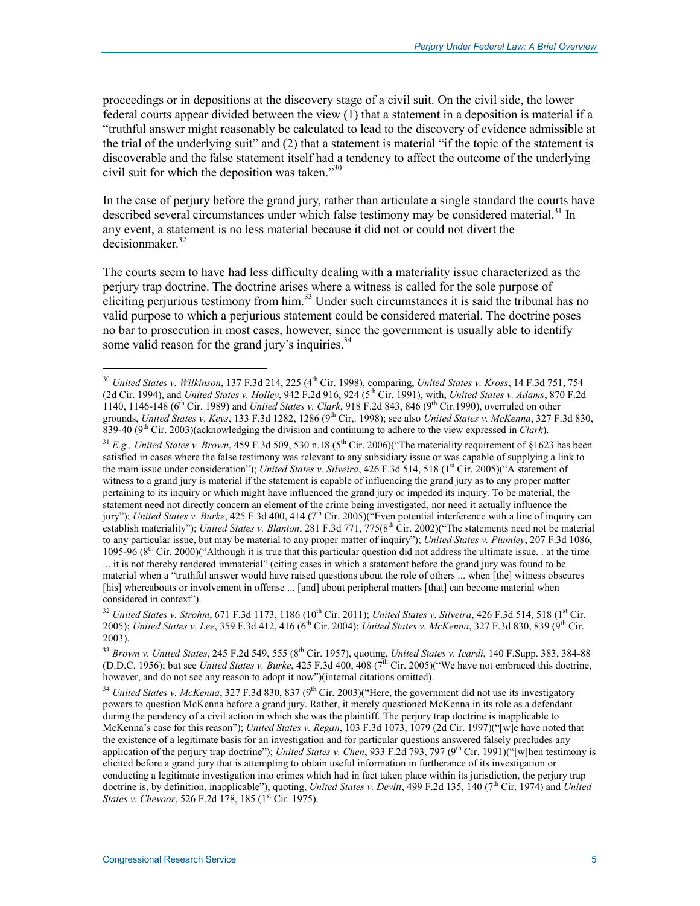proceedings or in depositions at the discovery stage of a civil suit. On the civil side, the lower federal courts appear divided between the view (1) that a statement in a deposition is material if a "truthful answer might reasonably be calculated to lead to the discovery of evidence admissible at the trial of the underlying suit" and (2) that a statement is material "if the topic of the statement is discoverable and the false statement itself had a tendency to affect the outcome of the underlying civil suit for which the deposition was taken."30

In the case of perjury before the grand jury, rather than articulate a single standard the courts have described several circumstances under which false testimony may be considered material.<sup>31</sup> In any event, a statement is no less material because it did not or could not divert the  $decisionmaker<sup>32</sup>$ 

The courts seem to have had less difficulty dealing with a materiality issue characterized as the perjury trap doctrine. The doctrine arises where a witness is called for the sole purpose of eliciting perjurious testimony from him.<sup>33</sup> Under such circumstances it is said the tribunal has no valid purpose to which a perjurious statement could be considered material. The doctrine poses no bar to prosecution in most cases, however, since the government is usually able to identify some valid reason for the grand jury's inquiries.<sup>34</sup>

<sup>31</sup> *E.g., United States v. Brown*, 459 F.3d 509, 530 n.18 (5<sup>th</sup> Cir. 2006)("The materiality requirement of §1623 has been satisfied in cases where the false testimony was relevant to any subsidiary issue or was capable of supplying a link to the main issue under consideration"); *United States v. Silveira*, 426 F.3d 514, 518 (1<sup>st</sup> Cir. 2005)("A statement of witness to a grand jury is material if the statement is capable of influencing the grand jury as to any proper matter pertaining to its inquiry or which might have influenced the grand jury or impeded its inquiry. To be material, the statement need not directly concern an element of the crime being investigated, nor need it actually influence the jury"); *United States v. Burke*, 425 F.3d 400, 414 (7<sup>th</sup> Cir. 2005)("Even potential interference with a line of inquiry can establish materiality"); *United States v. Blanton*, 281 F.3d 771, 775(8<sup>th</sup> Cir. 2002)("The statements need not be material to any particular issue, but may be material to any proper matter of inquiry"); *United States v. Plumley*, 207 F.3d 1086, 1095-96 ( $8<sup>th</sup>$  Cir. 2000)("Although it is true that this particular question did not address the ultimate issue. . at the time

<sup>&</sup>lt;sup>30</sup> *United States v. Wilkinson*, 137 F.3d 214, 225 (4<sup>th</sup> Cir. 1998), comparing, *United States v. Kross*, 14 F.3d 751, 754 (2d Cir. 1994), and *United States v. Holley*, 942 F.2d 916, 924 (5th Cir. 1991), with, *United States v. Adams*, 870 F.2d 1140, 1146-148 (6th Cir. 1989) and *United States v. Clark*, 918 F.2d 843, 846 (9th Cir.1990), overruled on other grounds, United States v. Keys, 133 F.3d 1282, 1286 (9<sup>th</sup> Cir,. 1998); see also United States v. McKenna, 327 F.3d 830, 839-40 (9th Cir. 2003)(acknowledging the division and continuing to adhere to the view expressed in *Clark*).

<sup>...</sup> it is not thereby rendered immaterial" (citing cases in which a statement before the grand jury was found to be material when a "truthful answer would have raised questions about the role of others ... when [the] witness obscures [his] whereabouts or involvement in offense ... [and] about peripheral matters [that] can become material when considered in context").

 $32$  *United States v. Strohm, 671 F.3d 1173, 1186 (10<sup>th</sup> Cir. 2011); <i>United States v. Silveira, 426 F.3d 514, 518 (1<sup>st</sup> Cir.* 2005); *United States v. Lee*, 359 F.3d 412, 416 (6<sup>th</sup> Cir. 2004); *United States v. McKenna*, 327 F.3d 830, 839 (9<sup>th</sup> Cir. 2003).

<sup>33</sup> *Brown v. United States*, 245 F.2d 549, 555 (8th Cir. 1957), quoting, *United States v. Icardi*, 140 F.Supp. 383, 384-88 (D.D.C. 1956); but see *United States v. Burke*, 425 F.3d 400, 408 ( $7<sup>th</sup>$  Cir. 2005)("We have not embraced this doctrine, however, and do not see any reason to adopt it now")(internal citations omitted).

<sup>&</sup>lt;sup>34</sup> *United States v. McKenna*, 327 F.3d 830, 837 (9<sup>th</sup> Cir. 2003)("Here, the government did not use its investigatory powers to question McKenna before a grand jury. Rather, it merely questioned McKenna in its role as a defendant during the pendency of a civil action in which she was the plaintiff. The perjury trap doctrine is inapplicable to McKenna's case for this reason"); *United States v. Regan*, 103 F.3d 1073, 1079 (2d Cir. 1997)("[w]e have noted that the existence of a legitimate basis for an investigation and for particular questions answered falsely precludes any application of the perjury trap doctrine"); *United States v. Chen*, 933 F.2d 793, 797 (9<sup>th</sup> Cir. 1991)("[w]hen testimony is elicited before a grand jury that is attempting to obtain useful information in furtherance of its investigation or conducting a legitimate investigation into crimes which had in fact taken place within its jurisdiction, the perjury trap doctrine is, by definition, inapplicable"), quoting, *United States v. Devitt*, 499 F.2d 135, 140 (7<sup>th</sup> Cir. 1974) and *United States v. Chevoor*, 526 F.2d 178, 185 (1<sup>st</sup> Cir. 1975).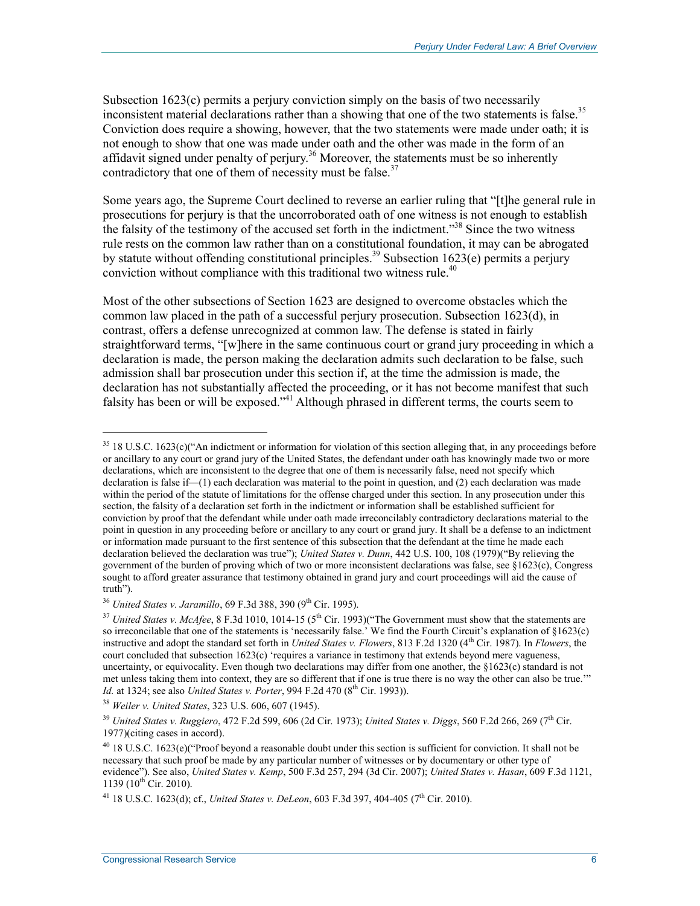Subsection 1623(c) permits a perjury conviction simply on the basis of two necessarily inconsistent material declarations rather than a showing that one of the two statements is false.<sup>35</sup> Conviction does require a showing, however, that the two statements were made under oath; it is not enough to show that one was made under oath and the other was made in the form of an affidavit signed under penalty of perjury.<sup>36</sup> Moreover, the statements must be so inherently contradictory that one of them of necessity must be false.<sup>37</sup>

Some years ago, the Supreme Court declined to reverse an earlier ruling that "[t]he general rule in prosecutions for perjury is that the uncorroborated oath of one witness is not enough to establish the falsity of the testimony of the accused set forth in the indictment."<sup>38</sup> Since the two witness rule rests on the common law rather than on a constitutional foundation, it may can be abrogated by statute without offending constitutional principles.<sup>39</sup> Subsection 1623(e) permits a perjury conviction without compliance with this traditional two witness rule.<sup>40</sup>

Most of the other subsections of Section 1623 are designed to overcome obstacles which the common law placed in the path of a successful perjury prosecution. Subsection 1623(d), in contrast, offers a defense unrecognized at common law. The defense is stated in fairly straightforward terms, "[w]here in the same continuous court or grand jury proceeding in which a declaration is made, the person making the declaration admits such declaration to be false, such admission shall bar prosecution under this section if, at the time the admission is made, the declaration has not substantially affected the proceeding, or it has not become manifest that such falsity has been or will be exposed."41 Although phrased in different terms, the courts seem to

<sup>36</sup> *United States v. Jaramillo, 69 F.3d 388, 390 (9<sup>th</sup> Cir. 1995).* 

 $\overline{a}$ 

<sup>&</sup>lt;sup>35</sup> 18 U.S.C. 1623(c)("An indictment or information for violation of this section alleging that, in any proceedings before or ancillary to any court or grand jury of the United States, the defendant under oath has knowingly made two or more declarations, which are inconsistent to the degree that one of them is necessarily false, need not specify which declaration is false if—(1) each declaration was material to the point in question, and (2) each declaration was made within the period of the statute of limitations for the offense charged under this section. In any prosecution under this section, the falsity of a declaration set forth in the indictment or information shall be established sufficient for conviction by proof that the defendant while under oath made irreconcilably contradictory declarations material to the point in question in any proceeding before or ancillary to any court or grand jury. It shall be a defense to an indictment or information made pursuant to the first sentence of this subsection that the defendant at the time he made each declaration believed the declaration was true"); *United States v. Dunn*, 442 U.S. 100, 108 (1979)("By relieving the government of the burden of proving which of two or more inconsistent declarations was false, see §1623(c), Congress sought to afford greater assurance that testimony obtained in grand jury and court proceedings will aid the cause of truth").

<sup>&</sup>lt;sup>37</sup> United States v. McAfee, 8 F.3d 1010, 1014-15 (5<sup>th</sup> Cir. 1993)("The Government must show that the statements are so irreconcilable that one of the statements is 'necessarily false.' We find the Fourth Circuit's explanation of §1623(c) instructive and adopt the standard set forth in *United States v. Flowers*, 813 F.2d 1320 (4<sup>th</sup> Cir. 1987). In *Flowers*, the court concluded that subsection 1623(c) 'requires a variance in testimony that extends beyond mere vagueness, uncertainty, or equivocality. Even though two declarations may differ from one another, the  $§1623(c)$  standard is not met unless taking them into context, they are so different that if one is true there is no way the other can also be true.'" *Id.* at 1324; see also *United States v. Porter*, 994 F.2d 470 (8<sup>th</sup> Cir. 1993)).

<sup>38</sup> *Weiler v. United States*, 323 U.S. 606, 607 (1945).

<sup>39</sup> *United States v. Ruggiero*, 472 F.2d 599, 606 (2d Cir. 1973); *United States v. Diggs*, 560 F.2d 266, 269 (7th Cir. 1977)(citing cases in accord).

 $^{40}$  18 U.S.C. 1623(e)("Proof beyond a reasonable doubt under this section is sufficient for conviction. It shall not be necessary that such proof be made by any particular number of witnesses or by documentary or other type of evidence"). See also, *United States v. Kemp*, 500 F.3d 257, 294 (3d Cir. 2007); *United States v. Hasan*, 609 F.3d 1121, 1139 ( $10^{th}$  Cir. 2010).

<sup>&</sup>lt;sup>41</sup> 18 U.S.C. 1623(d); cf., *United States v. DeLeon*, 603 F.3d 397, 404-405 (7<sup>th</sup> Cir. 2010).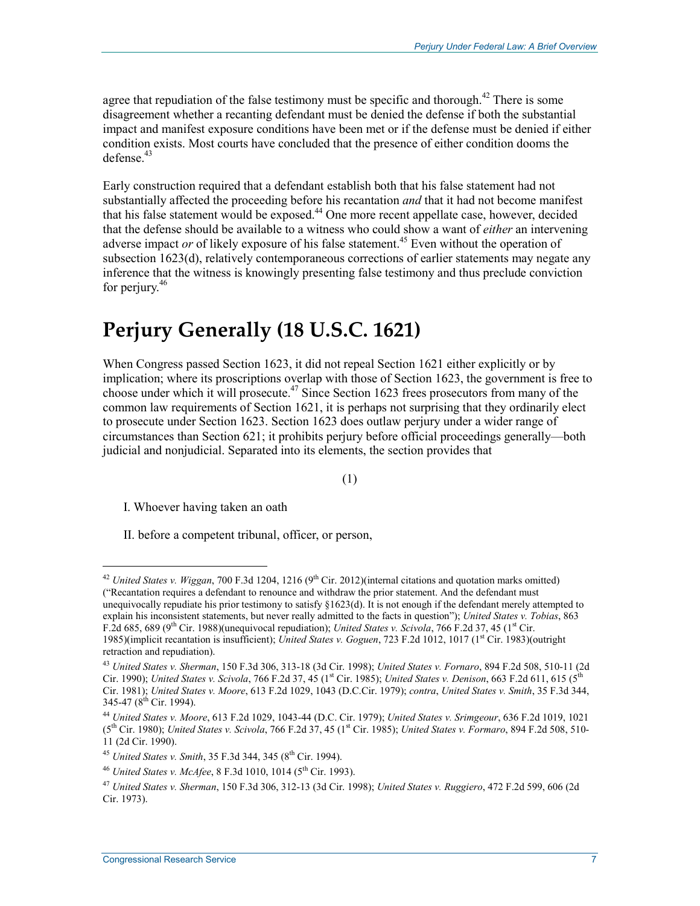agree that repudiation of the false testimony must be specific and thorough.<sup>42</sup> There is some disagreement whether a recanting defendant must be denied the defense if both the substantial impact and manifest exposure conditions have been met or if the defense must be denied if either condition exists. Most courts have concluded that the presence of either condition dooms the  $defense<sup>43</sup>$ 

Early construction required that a defendant establish both that his false statement had not substantially affected the proceeding before his recantation *and* that it had not become manifest that his false statement would be exposed.<sup>44</sup> One more recent appellate case, however, decided that the defense should be available to a witness who could show a want of *either* an intervening adverse impact *or* of likely exposure of his false statement.<sup>45</sup> Even without the operation of subsection 1623(d), relatively contemporaneous corrections of earlier statements may negate any inference that the witness is knowingly presenting false testimony and thus preclude conviction for perjury.<sup>46</sup>

### **Perjury Generally (18 U.S.C. 1621)**

When Congress passed Section 1623, it did not repeal Section 1621 either explicitly or by implication; where its proscriptions overlap with those of Section 1623, the government is free to choose under which it will prosecute.<sup>47</sup> Since Section 1623 frees prosecutors from many of the common law requirements of Section 1621, it is perhaps not surprising that they ordinarily elect to prosecute under Section 1623. Section 1623 does outlaw perjury under a wider range of circumstances than Section 621; it prohibits perjury before official proceedings generally—both judicial and nonjudicial. Separated into its elements, the section provides that

(1)

I. Whoever having taken an oath

1

II. before a competent tribunal, officer, or person,

<sup>&</sup>lt;sup>42</sup> *United States v. Wiggan*, 700 F.3d 1204, 1216 (9<sup>th</sup> Cir. 2012)(internal citations and quotation marks omitted) ("Recantation requires a defendant to renounce and withdraw the prior statement. And the defendant must unequivocally repudiate his prior testimony to satisfy §1623(d). It is not enough if the defendant merely attempted to explain his inconsistent statements, but never really admitted to the facts in question"); *United States v. Tobias*, 863 F.2d 685, 689 (9<sup>th</sup> Cir. 1988)(unequivocal repudiation); *United States v. Scivola*, 766 F.2d 37, 45 (1<sup>st</sup> Cir. 1985)(implicit recantation is insufficient); *United States v. Goguen*, 723 F.2d 1012, 1017 (1st Cir. 1983)(outright retraction and repudiation).

<sup>43</sup> *United States v. Sherman*, 150 F.3d 306, 313-18 (3d Cir. 1998); *United States v. Fornaro*, 894 F.2d 508, 510-11 (2d Cir. 1990); *United States v. Scivola*, 766 F.2d 37, 45 (1st Cir. 1985); *United States v. Denison*, 663 F.2d 611, 615 (5th Cir. 1981); *United States v. Moore*, 613 F.2d 1029, 1043 (D.C.Cir. 1979); *contra*, *United States v. Smith*, 35 F.3d 344, 345-47 (8<sup>th</sup> Cir. 1994).

<sup>44</sup> *United States v. Moore*, 613 F.2d 1029, 1043-44 (D.C. Cir. 1979); *United States v. Srimgeour*, 636 F.2d 1019, 1021 (5th Cir. 1980); *United States v. Scivola*, 766 F.2d 37, 45 (1st Cir. 1985); *United States v. Formaro*, 894 F.2d 508, 510- 11 (2d Cir. 1990).

<sup>&</sup>lt;sup>45</sup> *United States v. Smith*, 35 F.3d 344, 345 (8<sup>th</sup> Cir. 1994).

<sup>&</sup>lt;sup>46</sup> *United States v. McAfee*, 8 F.3d 1010, 1014 (5<sup>th</sup> Cir. 1993).

<sup>47</sup> *United States v. Sherman*, 150 F.3d 306, 312-13 (3d Cir. 1998); *United States v. Ruggiero*, 472 F.2d 599, 606 (2d Cir. 1973).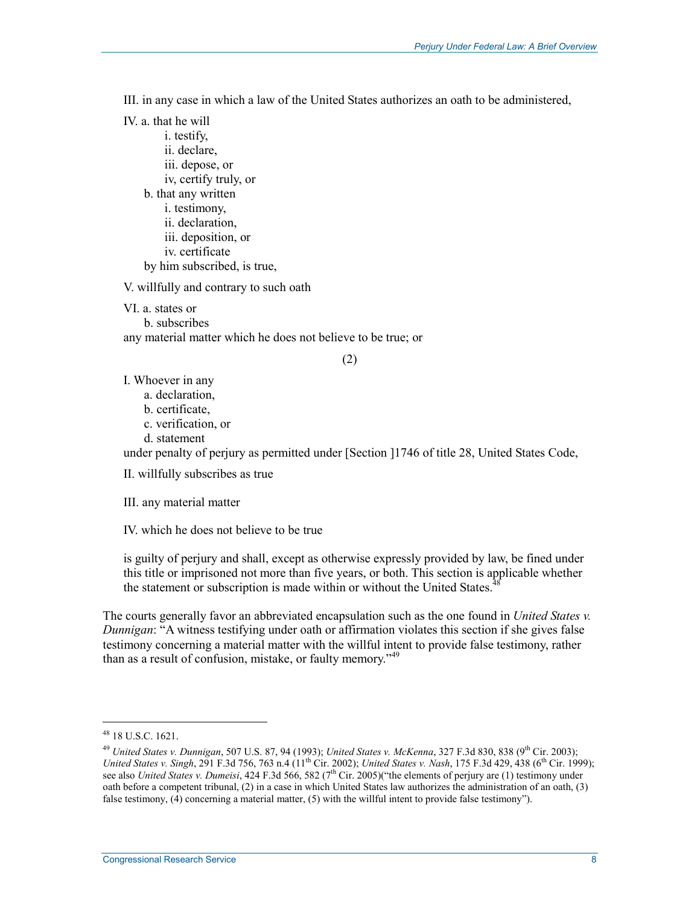III. in any case in which a law of the United States authorizes an oath to be administered,

IV. a. that he will i. testify, ii. declare, iii. depose, or iv, certify truly, or b. that any written i. testimony, ii. declaration, iii. deposition, or iv. certificate by him subscribed, is true,

V. willfully and contrary to such oath

VI. a. states or

b. subscribes

any material matter which he does not believe to be true; or

(2)

I. Whoever in any

a. declaration,

b. certificate,

c. verification, or

d. statement

under penalty of perjury as permitted under [Section ]1746 of title 28, United States Code,

II. willfully subscribes as true

III. any material matter

IV. which he does not believe to be true

is guilty of perjury and shall, except as otherwise expressly provided by law, be fined under this title or imprisoned not more than five years, or both. This section is applicable whether the statement or subscription is made within or without the United States.<sup>4</sup>

The courts generally favor an abbreviated encapsulation such as the one found in *United States v. Dunnigan*: "A witness testifying under oath or affirmation violates this section if she gives false testimony concerning a material matter with the willful intent to provide false testimony, rather than as a result of confusion, mistake, or faulty memory.<sup>149</sup>

 $\overline{a}$ 

<sup>48 18</sup> U.S.C. 1621.

<sup>49</sup> *United States v. Dunnigan*, 507 U.S. 87, 94 (1993); *United States v. McKenna*, 327 F.3d 830, 838 (9th Cir. 2003); *United States v. Singh*, 291 F.3d 756, 763 n.4 (11<sup>th</sup> Cir. 2002); *United States v. Nash*, 175 F.3d 429, 438 (6<sup>th</sup> Cir. 1999); see also *United States v. Dumeisi*, 424 F.3d 566, 582 (7<sup>th</sup> Cir. 2005)("the elements of perjury are (1) testimony under oath before a competent tribunal, (2) in a case in which United States law authorizes the administration of an oath, (3) false testimony,  $(4)$  concerning a material matter, (5) with the willful intent to provide false testimony").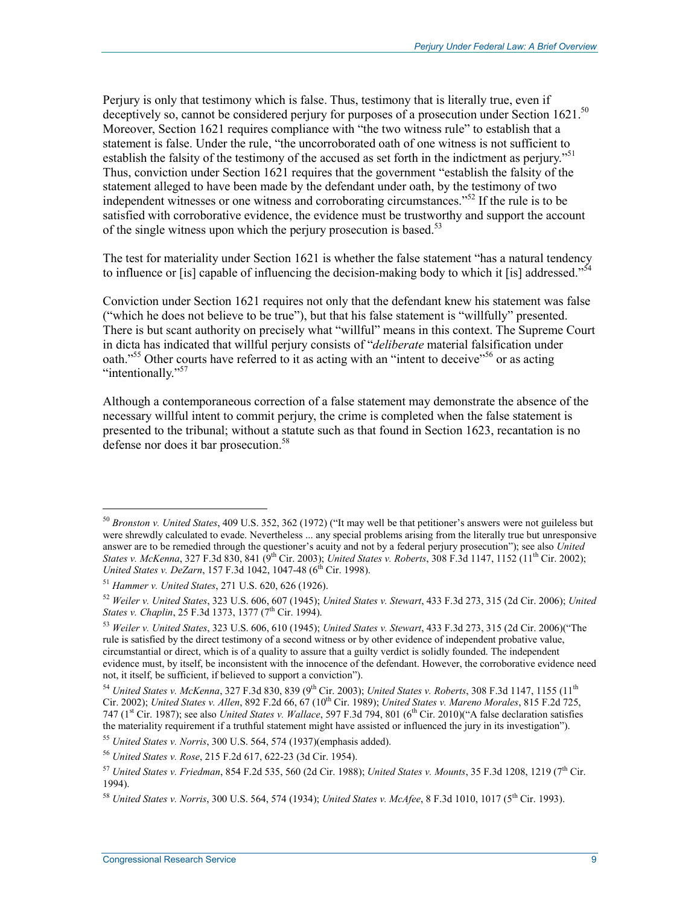Perjury is only that testimony which is false. Thus, testimony that is literally true, even if deceptively so, cannot be considered perjury for purposes of a prosecution under Section 1621.<sup>50</sup> Moreover, Section 1621 requires compliance with "the two witness rule" to establish that a statement is false. Under the rule, "the uncorroborated oath of one witness is not sufficient to establish the falsity of the testimony of the accused as set forth in the indictment as periury."<sup>51</sup> Thus, conviction under Section 1621 requires that the government "establish the falsity of the statement alleged to have been made by the defendant under oath, by the testimony of two independent witnesses or one witness and corroborating circumstances.<sup> $52$ </sup> If the rule is to be satisfied with corroborative evidence, the evidence must be trustworthy and support the account of the single witness upon which the perjury prosecution is based.<sup>53</sup>

The test for materiality under Section 1621 is whether the false statement "has a natural tendency to influence or [is] capable of influencing the decision-making body to which it [is] addressed."<sup>54</sup>

Conviction under Section 1621 requires not only that the defendant knew his statement was false ("which he does not believe to be true"), but that his false statement is "willfully" presented. There is but scant authority on precisely what "willful" means in this context. The Supreme Court in dicta has indicated that willful perjury consists of "*deliberate* material falsification under oath."<sup>55</sup> Other courts have referred to it as acting with an "intent to deceive"<sup>56</sup> or as acting "intentionally."<sup>57</sup>

Although a contemporaneous correction of a false statement may demonstrate the absence of the necessary willful intent to commit perjury, the crime is completed when the false statement is presented to the tribunal; without a statute such as that found in Section 1623, recantation is no defense nor does it bar prosecution.<sup>58</sup>

<sup>50</sup> *Bronston v. United States*, 409 U.S. 352, 362 (1972) ("It may well be that petitioner's answers were not guileless but were shrewdly calculated to evade. Nevertheless ... any special problems arising from the literally true but unresponsive answer are to be remedied through the questioner's acuity and not by a federal perjury prosecution"); see also *United States v. McKenna*, 327 F.3d 830, 841 (9<sup>th</sup> Cir. 2003); *United States v. Roberts*, 308 F.3d 1147, 1152 (11<sup>th</sup> Cir. 2002); *United States v. DeZarn*, 157 F.3d 1042, 1047-48 (6<sup>th</sup> Cir. 1998).

<sup>51</sup> *Hammer v. United States*, 271 U.S. 620, 626 (1926).

<sup>52</sup> *Weiler v. United States*, 323 U.S. 606, 607 (1945); *United States v. Stewart*, 433 F.3d 273, 315 (2d Cir. 2006); *United States v. Chaplin*, 25 F.3d 1373, 1377 (7<sup>th</sup> Cir. 1994).

<sup>53</sup> *Weiler v. United States*, 323 U.S. 606, 610 (1945); *United States v. Stewart*, 433 F.3d 273, 315 (2d Cir. 2006)("The rule is satisfied by the direct testimony of a second witness or by other evidence of independent probative value, circumstantial or direct, which is of a quality to assure that a guilty verdict is solidly founded. The independent evidence must, by itself, be inconsistent with the innocence of the defendant. However, the corroborative evidence need not, it itself, be sufficient, if believed to support a conviction").

<sup>54</sup> *United States v. McKenna*, 327 F.3d 830, 839 (9th Cir. 2003); *United States v. Roberts*, 308 F.3d 1147, 1155 (11th Cir. 2002); *United States v. Allen*, 892 F.2d 66, 67 (10th Cir. 1989); *United States v. Mareno Morales*, 815 F.2d 725, 747 (1st Cir. 1987); see also *United States v. Wallace*, 597 F.3d 794, 801 (6th Cir. 2010)("A false declaration satisfies the materiality requirement if a truthful statement might have assisted or influenced the jury in its investigation").

<sup>55</sup> *United States v. Norris*, 300 U.S. 564, 574 (1937)(emphasis added).

<sup>56</sup> *United States v. Rose*, 215 F.2d 617, 622-23 (3d Cir. 1954).

<sup>57</sup> *United States v. Friedman*, 854 F.2d 535, 560 (2d Cir. 1988); *United States v. Mounts*, 35 F.3d 1208, 1219 (7th Cir. 1994).

<sup>58</sup> *United States v. Norris*, 300 U.S. 564, 574 (1934); *United States v. McAfee*, 8 F.3d 1010, 1017 (5th Cir. 1993).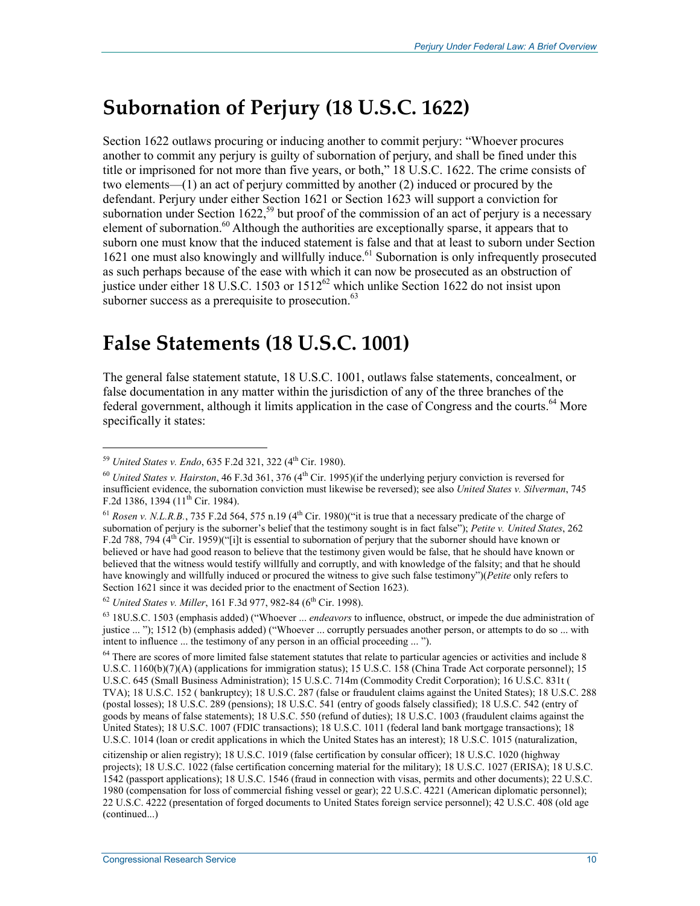# **Subornation of Perjury (18 U.S.C. 1622)**

Section 1622 outlaws procuring or inducing another to commit perjury: "Whoever procures another to commit any perjury is guilty of subornation of perjury, and shall be fined under this title or imprisoned for not more than five years, or both," 18 U.S.C. 1622. The crime consists of two elements—(1) an act of perjury committed by another (2) induced or procured by the defendant. Perjury under either Section 1621 or Section 1623 will support a conviction for subornation under Section 1622,<sup>59</sup> but proof of the commission of an act of perjury is a necessary element of subornation.<sup>60</sup> Although the authorities are exceptionally sparse, it appears that to suborn one must know that the induced statement is false and that at least to suborn under Section 1621 one must also knowingly and willfully induce.<sup>61</sup> Subornation is only infrequently prosecuted as such perhaps because of the ease with which it can now be prosecuted as an obstruction of justice under either 18 U.S.C. 1503 or  $1512^{62}$  which unlike Section 1622 do not insist upon suborner success as a prerequisite to prosecution.<sup>63</sup>

### **False Statements (18 U.S.C. 1001)**

The general false statement statute, 18 U.S.C. 1001, outlaws false statements, concealment, or false documentation in any matter within the jurisdiction of any of the three branches of the federal government, although it limits application in the case of Congress and the courts.<sup>64</sup> More specifically it states:

<sup>&</sup>lt;sup>59</sup> *United States v. Endo*, 635 F.2d 321, 322 (4<sup>th</sup> Cir. 1980).

<sup>60</sup> *United States v. Hairston*, 46 F.3d 361, 376 (4th Cir. 1995)(if the underlying perjury conviction is reversed for insufficient evidence, the subornation conviction must likewise be reversed); see also *United States v. Silverman*, 745 F.2d 1386, 1394 ( $11^{th}$  Cir. 1984).

<sup>&</sup>lt;sup>61</sup> *Rosen v. N.L.R.B.*, 735 F.2d 564, 575 n.19 ( $4<sup>th</sup>$  Cir. 1980)("it is true that a necessary predicate of the charge of subornation of perjury is the suborner's belief that the testimony sought is in fact false"); *Petite v. United States*, 262 F.2d 788, 794  $(4<sup>th</sup> Cir. 1959)'$  ("i]t is essential to subornation of perjury that the suborner should have known or believed or have had good reason to believe that the testimony given would be false, that he should have known or believed that the witness would testify willfully and corruptly, and with knowledge of the falsity; and that he should have knowingly and willfully induced or procured the witness to give such false testimony")(*Petite* only refers to Section 1621 since it was decided prior to the enactment of Section 1623).

<sup>&</sup>lt;sup>62</sup> *United States v. Miller*, 161 F.3d 977, 982-84 (6<sup>th</sup> Cir. 1998).

<sup>63 18</sup>U.S.C. 1503 (emphasis added) ("Whoever ... *endeavors* to influence, obstruct, or impede the due administration of justice ... "); 1512 (b) (emphasis added) ("Whoever ... corruptly persuades another person, or attempts to do so ... with intent to influence ... the testimony of any person in an official proceeding ... ").

 $64$  There are scores of more limited false statement statutes that relate to particular agencies or activities and include 8 U.S.C. 1160(b)(7)(A) (applications for immigration status); 15 U.S.C. 158 (China Trade Act corporate personnel); 15 U.S.C. 645 (Small Business Administration); 15 U.S.C. 714m (Commodity Credit Corporation); 16 U.S.C. 831t ( TVA); 18 U.S.C. 152 ( bankruptcy); 18 U.S.C. 287 (false or fraudulent claims against the United States); 18 U.S.C. 288 (postal losses); 18 U.S.C. 289 (pensions); 18 U.S.C. 541 (entry of goods falsely classified); 18 U.S.C. 542 (entry of goods by means of false statements); 18 U.S.C. 550 (refund of duties); 18 U.S.C. 1003 (fraudulent claims against the United States); 18 U.S.C. 1007 (FDIC transactions); 18 U.S.C. 1011 (federal land bank mortgage transactions); 18 U.S.C. 1014 (loan or credit applications in which the United States has an interest); 18 U.S.C. 1015 (naturalization,

citizenship or alien registry); 18 U.S.C. 1019 (false certification by consular officer); 18 U.S.C. 1020 (highway projects); 18 U.S.C. 1022 (false certification concerning material for the military); 18 U.S.C. 1027 (ERISA); 18 U.S.C. 1542 (passport applications); 18 U.S.C. 1546 (fraud in connection with visas, permits and other documents); 22 U.S.C. 1980 (compensation for loss of commercial fishing vessel or gear); 22 U.S.C. 4221 (American diplomatic personnel); 22 U.S.C. 4222 (presentation of forged documents to United States foreign service personnel); 42 U.S.C. 408 (old age (continued...)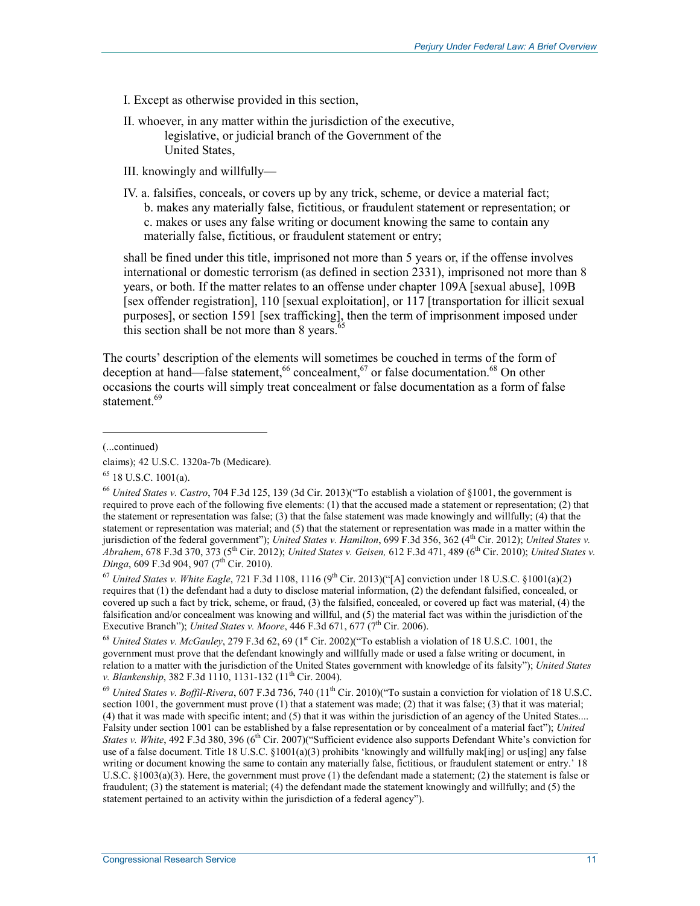- I. Except as otherwise provided in this section,
- II. whoever, in any matter within the jurisdiction of the executive, legislative, or judicial branch of the Government of the United States,
- III. knowingly and willfully—
- IV. a. falsifies, conceals, or covers up by any trick, scheme, or device a material fact; b. makes any materially false, fictitious, or fraudulent statement or representation; or c. makes or uses any false writing or document knowing the same to contain any materially false, fictitious, or fraudulent statement or entry;

shall be fined under this title, imprisoned not more than 5 years or, if the offense involves international or domestic terrorism (as defined in section 2331), imprisoned not more than 8 years, or both. If the matter relates to an offense under chapter 109A [sexual abuse], 109B [sex offender registration], 110 [sexual exploitation], or 117 [transportation for illicit sexual purposes], or section 1591 [sex trafficking], then the term of imprisonment imposed under this section shall be not more than  $8$  years.<sup>65</sup>

The courts' description of the elements will sometimes be couched in terms of the form of deception at hand—false statement,<sup>66</sup> concealment,<sup>67</sup> or false documentation.<sup>68</sup> On other occasions the courts will simply treat concealment or false documentation as a form of false statement.<sup>69</sup>

 $\overline{a}$ 

 $^{67}$  *United States v. White Eagle*, 721 F.3d 1108, 1116 (9<sup>th</sup> Cir. 2013)("[A] conviction under 18 U.S.C. §1001(a)(2) requires that (1) the defendant had a duty to disclose material information, (2) the defendant falsified, concealed, or covered up such a fact by trick, scheme, or fraud, (3) the falsified, concealed, or covered up fact was material, (4) the falsification and/or concealment was knowing and willful, and (5) the material fact was within the jurisdiction of the Executive Branch"); *United States v. Moore*, 446 F.3d 671, 677 (7<sup>th</sup> Cir. 2006).

<sup>68</sup> *United States v. McGauley*, 279 F.3d 62, 69 (1<sup>st</sup> Cir. 2002)("To establish a violation of 18 U.S.C. 1001, the government must prove that the defendant knowingly and willfully made or used a false writing or document, in relation to a matter with the jurisdiction of the United States government with knowledge of its falsity"); *United States v. Blankenship*, 382 F.3d 1110, 1131-132 (11<sup>th</sup> Cir. 2004).

<sup>69</sup> *United States v. Boffil-Rivera*, 607 F.3d 736, 740 (11th Cir. 2010)("To sustain a conviction for violation of 18 U.S.C. section 1001, the government must prove  $(1)$  that a statement was made;  $(2)$  that it was false;  $(3)$  that it was material; (4) that it was made with specific intent; and (5) that it was within the jurisdiction of an agency of the United States.... Falsity under section 1001 can be established by a false representation or by concealment of a material fact"); *United States v. White*, 492 F.3d 380, 396 (6<sup>th</sup> Cir. 2007)("Sufficient evidence also supports Defendant White's conviction for use of a false document. Title 18 U.S.C. §1001(a)(3) prohibits 'knowingly and willfully mak[ing] or us[ing] any false writing or document knowing the same to contain any materially false, fictitious, or fraudulent statement or entry.' 18 U.S.C. §1003(a)(3). Here, the government must prove (1) the defendant made a statement; (2) the statement is false or fraudulent; (3) the statement is material; (4) the defendant made the statement knowingly and willfully; and (5) the statement pertained to an activity within the jurisdiction of a federal agency").

<sup>(...</sup>continued)

claims); 42 U.S.C. 1320a-7b (Medicare).

 $65$  18 U.S.C. 1001(a).

<sup>66</sup> *United States v. Castro*, 704 F.3d 125, 139 (3d Cir. 2013)("To establish a violation of §1001, the government is required to prove each of the following five elements: (1) that the accused made a statement or representation; (2) that the statement or representation was false; (3) that the false statement was made knowingly and willfully; (4) that the statement or representation was material; and (5) that the statement or representation was made in a matter within the jurisdiction of the federal government"); *United States v. Hamilton*, 699 F.3d 356, 362 (4<sup>th</sup> Cir. 2012); *United States v. Abrahem*, 678 F.3d 370, 373 (5th Cir. 2012); *United States v. Geisen,* 612 F.3d 471, 489 (6th Cir. 2010); *United States v. Dinga*, 609 F.3d 904, 907 (7<sup>th</sup> Cir. 2010).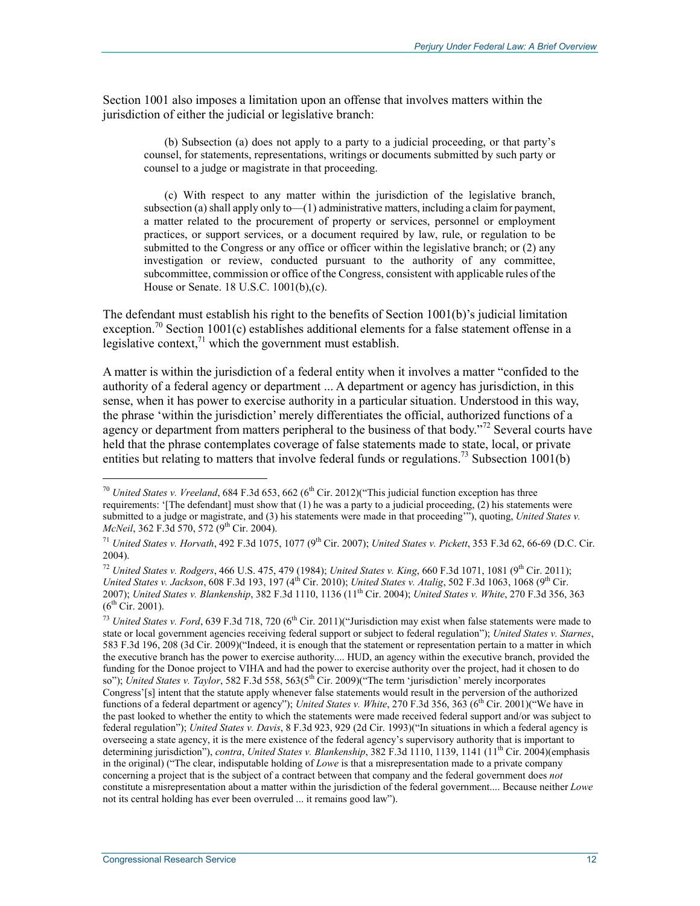Section 1001 also imposes a limitation upon an offense that involves matters within the jurisdiction of either the judicial or legislative branch:

(b) Subsection (a) does not apply to a party to a judicial proceeding, or that party's counsel, for statements, representations, writings or documents submitted by such party or counsel to a judge or magistrate in that proceeding.

(c) With respect to any matter within the jurisdiction of the legislative branch, subsection (a) shall apply only to  $-(1)$  administrative matters, including a claim for payment, a matter related to the procurement of property or services, personnel or employment practices, or support services, or a document required by law, rule, or regulation to be submitted to the Congress or any office or officer within the legislative branch; or (2) any investigation or review, conducted pursuant to the authority of any committee, subcommittee, commission or office of the Congress, consistent with applicable rules of the House or Senate. 18 U.S.C. 1001(b),(c).

The defendant must establish his right to the benefits of Section 1001(b)'s judicial limitation exception.<sup>70</sup> Section 1001(c) establishes additional elements for a false statement offense in a legislative context, $^{71}$  which the government must establish.

A matter is within the jurisdiction of a federal entity when it involves a matter "confided to the authority of a federal agency or department ... A department or agency has jurisdiction, in this sense, when it has power to exercise authority in a particular situation. Understood in this way, the phrase 'within the jurisdiction' merely differentiates the official, authorized functions of a agency or department from matters peripheral to the business of that body."<sup>72</sup> Several courts have held that the phrase contemplates coverage of false statements made to state, local, or private entities but relating to matters that involve federal funds or regulations.<sup>73</sup> Subsection 1001(b)

 $\overline{a}$ 

<sup>&</sup>lt;sup>70</sup> *United States v. Vreeland*, 684 F.3d 653, 662 (6<sup>th</sup> Cir. 2012)("This judicial function exception has three requirements: '[The defendant] must show that (1) he was a party to a judicial proceeding, (2) his statements were submitted to a judge or magistrate, and (3) his statements were made in that proceeding"), quoting, *United States v. McNeil*, 362 F.3d 570, 572 (9<sup>th</sup> Cir. 2004).

<sup>71</sup> *United States v. Horvath*, 492 F.3d 1075, 1077 (9th Cir. 2007); *United States v. Pickett*, 353 F.3d 62, 66-69 (D.C. Cir. 2004).

<sup>72</sup> *United States v. Rodgers*, 466 U.S. 475, 479 (1984); *United States v. King*, 660 F.3d 1071, 1081 (9th Cir. 2011); *United States v. Jackson*, 608 F.3d 193, 197 (4<sup>th</sup> Cir. 2010); *United States v. Atalig*, 502 F.3d 1063, 1068 (9<sup>th</sup> Cir. 2007); *United States v. Blankenship*, 382 F.3d 1110, 1136 (11th Cir. 2004); *United States v. White*, 270 F.3d 356, 363  $(6^{th}$  Cir. 2001).

<sup>&</sup>lt;sup>73</sup> *United States v. Ford*, 639 F.3d 718, 720 (6<sup>th</sup> Cir. 2011)("Jurisdiction may exist when false statements were made to state or local government agencies receiving federal support or subject to federal regulation"); *United States v. Starnes*, 583 F.3d 196, 208 (3d Cir. 2009)("Indeed, it is enough that the statement or representation pertain to a matter in which the executive branch has the power to exercise authority.... HUD, an agency within the executive branch, provided the funding for the Donoe project to VIHA and had the power to exercise authority over the project, had it chosen to do so"); *United States v. Taylor*, 582 F.3d 558, 563(5th Cir. 2009)("The term 'jurisdiction' merely incorporates Congress'[s] intent that the statute apply whenever false statements would result in the perversion of the authorized functions of a federal department or agency"); *United States v. White*, 270 F.3d 356, 363 (6<sup>th</sup> Cir. 2001)("We have in the past looked to whether the entity to which the statements were made received federal support and/or was subject to federal regulation"); *United States v. Davis*, 8 F.3d 923, 929 (2d Cir. 1993)("In situations in which a federal agency is overseeing a state agency, it is the mere existence of the federal agency's supervisory authority that is important to determining jurisdiction"), *contra*, *United States v. Blankenship*, 382 F.3d 1110, 1139, 1141 (11th Cir. 2004)(emphasis in the original) ("The clear, indisputable holding of *Lowe* is that a misrepresentation made to a private company concerning a project that is the subject of a contract between that company and the federal government does *not* constitute a misrepresentation about a matter within the jurisdiction of the federal government.... Because neither *Lowe* not its central holding has ever been overruled ... it remains good law").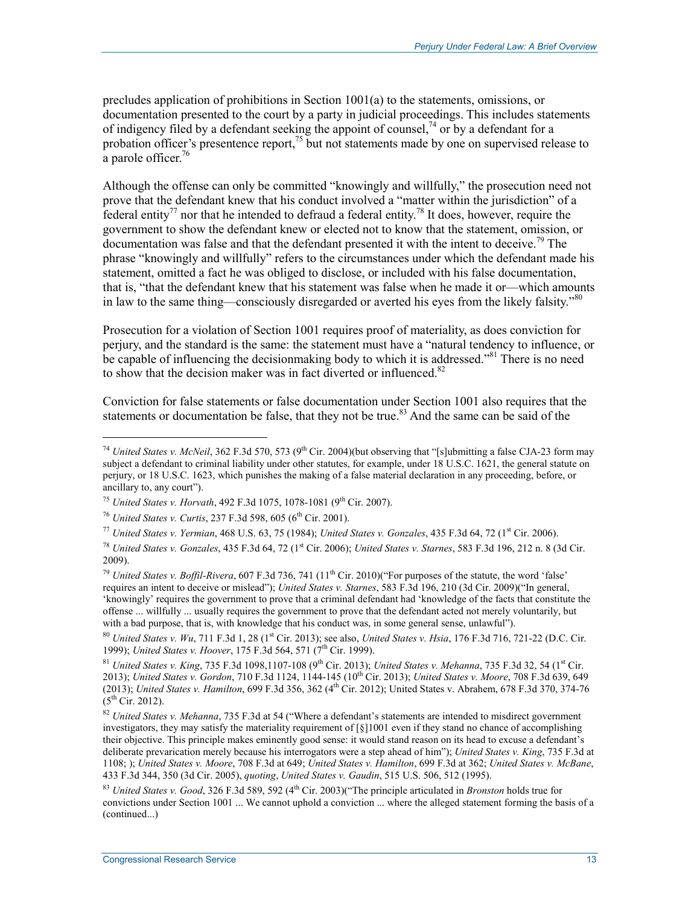precludes application of prohibitions in Section 1001(a) to the statements, omissions, or documentation presented to the court by a party in judicial proceedings. This includes statements of indigency filed by a defendant seeking the appoint of counsel,<sup>74</sup> or by a defendant for a probation officer's presentence report, $^{75}$  but not statements made by one on supervised release to a parole officer.<sup>76</sup>

Although the offense can only be committed "knowingly and willfully," the prosecution need not prove that the defendant knew that his conduct involved a "matter within the jurisdiction" of a federal entity<sup>77</sup> nor that he intended to defraud a federal entity.<sup>78</sup> It does, however, require the government to show the defendant knew or elected not to know that the statement, omission, or documentation was false and that the defendant presented it with the intent to deceive.<sup>79</sup> The phrase "knowingly and willfully" refers to the circumstances under which the defendant made his statement, omitted a fact he was obliged to disclose, or included with his false documentation, that is, "that the defendant knew that his statement was false when he made it or—which amounts in law to the same thing—consciously disregarded or averted his eyes from the likely falsity."<sup>80</sup>

Prosecution for a violation of Section 1001 requires proof of materiality, as does conviction for perjury, and the standard is the same: the statement must have a "natural tendency to influence, or be capable of influencing the decisionmaking body to which it is addressed."<sup>81</sup> There is no need to show that the decision maker was in fact diverted or influenced.<sup>82</sup>

Conviction for false statements or false documentation under Section 1001 also requires that the statements or documentation be false, that they not be true.<sup>83</sup> And the same can be said of the

<sup>&</sup>lt;sup>74</sup> *United States v. McNeil*, 362 F.3d 570, 573 (9<sup>th</sup> Cir. 2004)(but observing that "[s]ubmitting a false CJA-23 form may subject a defendant to criminal liability under other statutes, for example, under 18 U.S.C. 1621, the general statute on perjury, or 18 U.S.C. 1623, which punishes the making of a false material declaration in any proceeding, before, or ancillary to, any court").

<sup>&</sup>lt;sup>75</sup> *United States v. Horvath*, 492 F.3d 1075, 1078-1081 (9<sup>th</sup> Cir. 2007).

<sup>&</sup>lt;sup>76</sup> *United States v. Curtis*, 237 F.3d 598, 605 (6<sup>th</sup> Cir. 2001).

 $^{77}$  *United States v. Yermian, 468 U.S. 63, 75 (1984); <i>United States v. Gonzales, 435 F.3d 64, 72 (1<sup>st</sup> Cir. 2006).* 

<sup>78</sup> *United States v. Gonzales*, 435 F.3d 64, 72 (1st Cir. 2006); *United States v. Starnes*, 583 F.3d 196, 212 n. 8 (3d Cir. 2009).

<sup>&</sup>lt;sup>79</sup> *United States v. Boffil-Rivera*, 607 F.3d 736, 741 (11<sup>th</sup> Cir. 2010)("For purposes of the statute, the word 'false' requires an intent to deceive or mislead"); *United States v. Starnes*, 583 F.3d 196, 210 (3d Cir. 2009)("In general, 'knowingly' requires the government to prove that a criminal defendant had 'knowledge of the facts that constitute the offense ... willfully ... usually requires the government to prove that the defendant acted not merely voluntarily, but with a bad purpose, that is, with knowledge that his conduct was, in some general sense, unlawful").

<sup>80</sup> *United States v. Wu*, 711 F.3d 1, 28 (1<sup>st</sup> Cir. 2013); see also, *United States v. Hsia*, 176 F.3d 716, 721-22 (D.C. Cir. 1999); *United States v. Hoover*, 175 F.3d 564, 571 (7<sup>th</sup> Cir. 1999).

<sup>&</sup>lt;sup>81</sup> *United States v. King, 735 F.3d 1098,1107-108 (9<sup>th</sup> Cir. 2013); <i>United States v. Mehanna*, 735 F.3d 32, 54 (1<sup>st</sup> Cir. 2013); *United States v. Gordon*, 710 F.3d 1124, 1144-145 (10th Cir. 2013); *United States v. Moore*, 708 F.3d 639, 649 (2013); *United States v. Hamilton*, 699 F.3d 356, 362 (4th Cir. 2012); United States v. Abrahem, 678 F.3d 370, 374-76  $(5^{th}$  Cir. 2012).

<sup>82</sup> *United States v. Mehanna*, 735 F.3d at 54 ("Where a defendant's statements are intended to misdirect government investigators, they may satisfy the materiality requirement of [§]1001 even if they stand no chance of accomplishing their objective. This principle makes eminently good sense: it would stand reason on its head to excuse a defendant's deliberate prevarication merely because his interrogators were a step ahead of him"); *United States v. King*, 735 F.3d at 1108; ); *United States v. Moore*, 708 F.3d at 649; *United States v. Hamilton*, 699 F.3d at 362; *United States v. McBane*, 433 F.3d 344, 350 (3d Cir. 2005), *quoting*, *United States v. Gaudin*, 515 U.S. 506, 512 (1995).

<sup>83</sup> *United States v. Good*, 326 F.3d 589, 592 (4th Cir. 2003)("The principle articulated in *Bronston* holds true for convictions under Section 1001 ... We cannot uphold a conviction ... where the alleged statement forming the basis of a (continued...)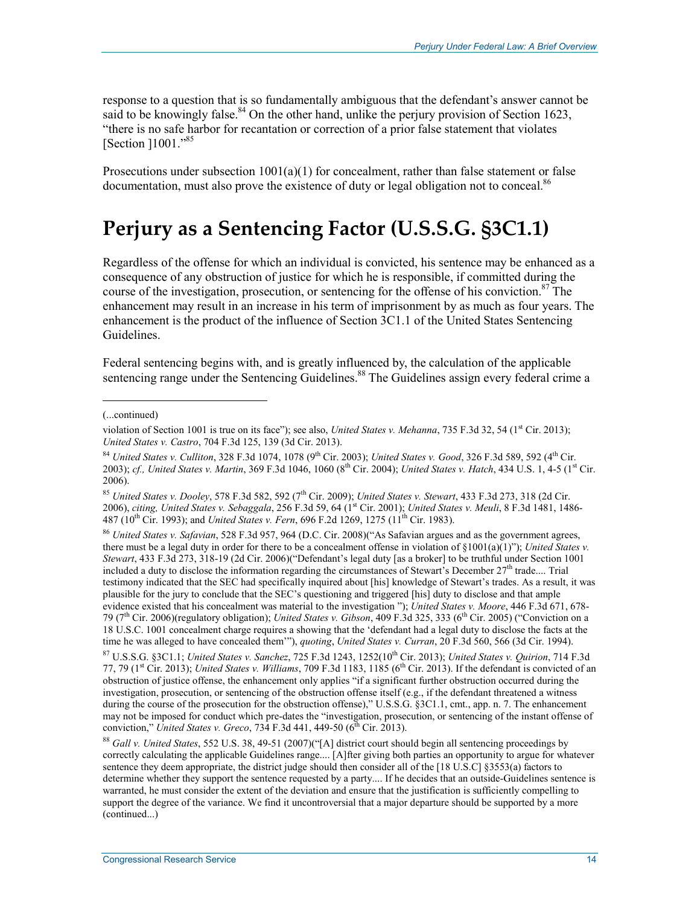response to a question that is so fundamentally ambiguous that the defendant's answer cannot be said to be knowingly false.<sup>84</sup> On the other hand, unlike the perjury provision of Section 1623, "there is no safe harbor for recantation or correction of a prior false statement that violates [Section ]1001."<sup>85</sup>

Prosecutions under subsection  $1001(a)(1)$  for concealment, rather than false statement or false documentation, must also prove the existence of duty or legal obligation not to conceal.<sup>86</sup>

## **Perjury as a Sentencing Factor (U.S.S.G. §3C1.1)**

Regardless of the offense for which an individual is convicted, his sentence may be enhanced as a consequence of any obstruction of justice for which he is responsible, if committed during the course of the investigation, prosecution, or sentencing for the offense of his conviction.<sup>87</sup> The enhancement may result in an increase in his term of imprisonment by as much as four years. The enhancement is the product of the influence of Section 3C1.1 of the United States Sentencing Guidelines.

Federal sentencing begins with, and is greatly influenced by, the calculation of the applicable sentencing range under the Sentencing Guidelines.<sup>88</sup> The Guidelines assign every federal crime a

1

<sup>86</sup> *United States v. Safavian*, 528 F.3d 957, 964 (D.C. Cir. 2008)("As Safavian argues and as the government agrees, there must be a legal duty in order for there to be a concealment offense in violation of §1001(a)(1)"); *United States v. Stewart*, 433 F.3d 273, 318-19 (2d Cir. 2006)("Defendant's legal duty [as a broker] to be truthful under Section 1001 included a duty to disclose the information regarding the circumstances of Stewart<sup>5</sup>s December  $27<sup>th</sup>$  trade.... Trial testimony indicated that the SEC had specifically inquired about [his] knowledge of Stewart's trades. As a result, it was plausible for the jury to conclude that the SEC's questioning and triggered [his] duty to disclose and that ample evidence existed that his concealment was material to the investigation "); *United States v. Moore*, 446 F.3d 671, 678- 79 ( $7<sup>th</sup>$  Cir. 2006)(regulatory obligation); *United States v. Gibson*, 409 F.3d 325, 333 ( $6<sup>th</sup>$  Cir. 2005) ("Conviction on a 18 U.S.C. 1001 concealment charge requires a showing that the 'defendant had a legal duty to disclose the facts at the time he was alleged to have concealed them'"), *quoting*, *United States v. Curran*, 20 F.3d 560, 566 (3d Cir. 1994).

<sup>(...</sup>continued)

violation of Section 1001 is true on its face"); see also, *United States v. Mehanna*, 735 F.3d 32, 54 (1<sup>st</sup> Cir. 2013); *United States v. Castro*, 704 F.3d 125, 139 (3d Cir. 2013).

<sup>84</sup> *United States v. Culliton*, 328 F.3d 1074, 1078 (9<sup>th</sup> Cir. 2003); *United States v. Good*, 326 F.3d 589, 592 (4<sup>th</sup> Cir. 2003); *cf., United States v. Martin*, 369 F.3d 1046, 1060 (8<sup>th</sup> Cir. 2004); *United States v. Hatch*, 434 U.S. 1, 4-5 (1<sup>st</sup> Cir. 2006).

<sup>85</sup> *United States v. Dooley*, 578 F.3d 582, 592 (7th Cir. 2009); *United States v. Stewart*, 433 F.3d 273, 318 (2d Cir. 2006), *citing, United States v. Sebaggala*, 256 F.3d 59, 64 (1st Cir. 2001); *United States v. Meuli*, 8 F.3d 1481, 1486- 487 (10<sup>th</sup> Cir. 1993); and *United States v. Fern*, 696 F.2d 1269, 1275 (11<sup>th</sup> Cir. 1983).

<sup>87</sup> U.S.S.G. §3C1.1; *United States v. Sanchez*, 725 F.3d 1243, 1252(10th Cir. 2013); *United States v. Quirion*, 714 F.3d 77, 79 ( $1<sup>st</sup>$  Cir. 2013); *United States v. Williams*, 709 F.3d 1183, 1185 ( $6<sup>th</sup>$  Cir. 2013). If the defendant is convicted of an obstruction of justice offense, the enhancement only applies "if a significant further obstruction occurred during the investigation, prosecution, or sentencing of the obstruction offense itself (e.g., if the defendant threatened a witness during the course of the prosecution for the obstruction offense)," U.S.S.G. §3C1.1, cmt., app. n. 7. The enhancement may not be imposed for conduct which pre-dates the "investigation, prosecution, or sentencing of the instant offense of conviction," *United States v. Greco*, 734 F.3d 441, 449-50 (6<sup>th</sup> Cir. 2013).

<sup>88</sup> *Gall v. United States*, 552 U.S. 38, 49-51 (2007)("[A] district court should begin all sentencing proceedings by correctly calculating the applicable Guidelines range.... [A]fter giving both parties an opportunity to argue for whatever sentence they deem appropriate, the district judge should then consider all of the [18 U.S.C] §3553(a) factors to determine whether they support the sentence requested by a party.... If he decides that an outside-Guidelines sentence is warranted, he must consider the extent of the deviation and ensure that the justification is sufficiently compelling to support the degree of the variance. We find it uncontroversial that a major departure should be supported by a more (continued...)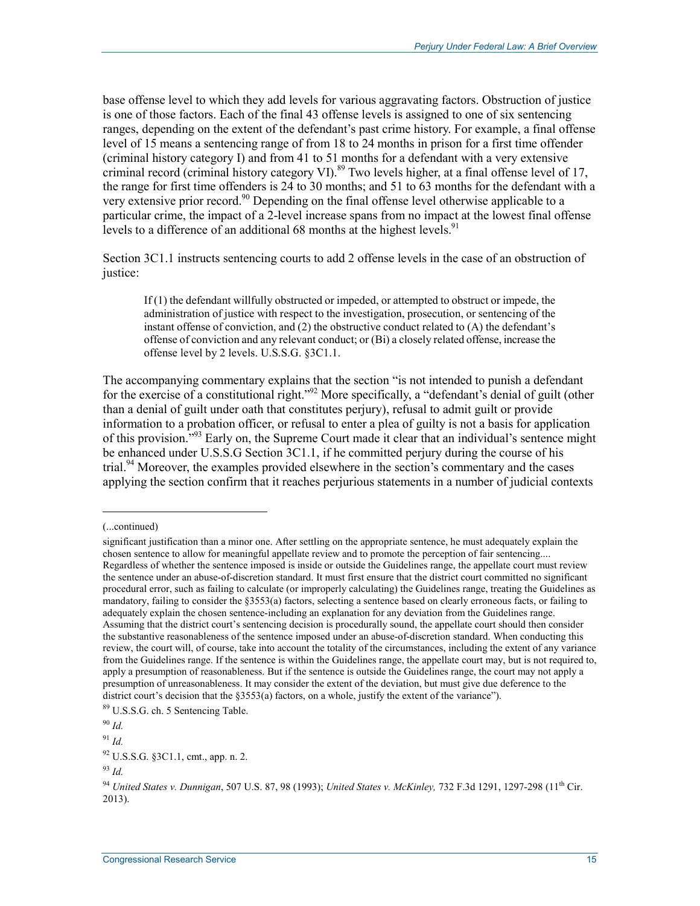base offense level to which they add levels for various aggravating factors. Obstruction of justice is one of those factors. Each of the final 43 offense levels is assigned to one of six sentencing ranges, depending on the extent of the defendant's past crime history. For example, a final offense level of 15 means a sentencing range of from 18 to 24 months in prison for a first time offender (criminal history category I) and from 41 to 51 months for a defendant with a very extensive criminal record (criminal history category VI).<sup>89</sup> Two levels higher, at a final offense level of 17, the range for first time offenders is 24 to 30 months; and 51 to 63 months for the defendant with a very extensive prior record.<sup>90</sup> Depending on the final offense level otherwise applicable to a particular crime, the impact of a 2-level increase spans from no impact at the lowest final offense levels to a difference of an additional 68 months at the highest levels.<sup>91</sup>

Section 3C1.1 instructs sentencing courts to add 2 offense levels in the case of an obstruction of justice:

If (1) the defendant willfully obstructed or impeded, or attempted to obstruct or impede, the administration of justice with respect to the investigation, prosecution, or sentencing of the instant offense of conviction, and (2) the obstructive conduct related to (A) the defendant's offense of conviction and any relevant conduct; or (Bi) a closely related offense, increase the offense level by 2 levels. U.S.S.G. §3C1.1.

The accompanying commentary explains that the section "is not intended to punish a defendant for the exercise of a constitutional right."92 More specifically, a "defendant's denial of guilt (other than a denial of guilt under oath that constitutes perjury), refusal to admit guilt or provide information to a probation officer, or refusal to enter a plea of guilty is not a basis for application of this provision.<sup>"93</sup> Early on, the Supreme Court made it clear that an individual's sentence might be enhanced under U.S.S.G Section  $3C1.1$ , if he committed perjury during the course of his trial.<sup>94</sup> Moreover, the examples provided elsewhere in the section's commentary and the cases applying the section confirm that it reaches perjurious statements in a number of judicial contexts

1

 $^{91}$  *Id.* 

<sup>(...</sup>continued)

significant justification than a minor one. After settling on the appropriate sentence, he must adequately explain the chosen sentence to allow for meaningful appellate review and to promote the perception of fair sentencing.... Regardless of whether the sentence imposed is inside or outside the Guidelines range, the appellate court must review the sentence under an abuse-of-discretion standard. It must first ensure that the district court committed no significant procedural error, such as failing to calculate (or improperly calculating) the Guidelines range, treating the Guidelines as mandatory, failing to consider the §3553(a) factors, selecting a sentence based on clearly erroneous facts, or failing to adequately explain the chosen sentence-including an explanation for any deviation from the Guidelines range. Assuming that the district court's sentencing decision is procedurally sound, the appellate court should then consider the substantive reasonableness of the sentence imposed under an abuse-of-discretion standard. When conducting this review, the court will, of course, take into account the totality of the circumstances, including the extent of any variance from the Guidelines range. If the sentence is within the Guidelines range, the appellate court may, but is not required to, apply a presumption of reasonableness. But if the sentence is outside the Guidelines range, the court may not apply a presumption of unreasonableness. It may consider the extent of the deviation, but must give due deference to the district court's decision that the §3553(a) factors, on a whole, justify the extent of the variance").

<sup>89</sup> U.S.S.G. ch. 5 Sentencing Table.

<sup>90</sup> *Id.* 

<sup>92</sup> U.S.S.G. §3C1.1, cmt., app. n. 2.

<sup>93</sup> *Id.* 

<sup>94</sup> *United States v. Dunnigan*, 507 U.S. 87, 98 (1993); *United States v. McKinley,* 732 F.3d 1291, 1297-298 (11th Cir. 2013).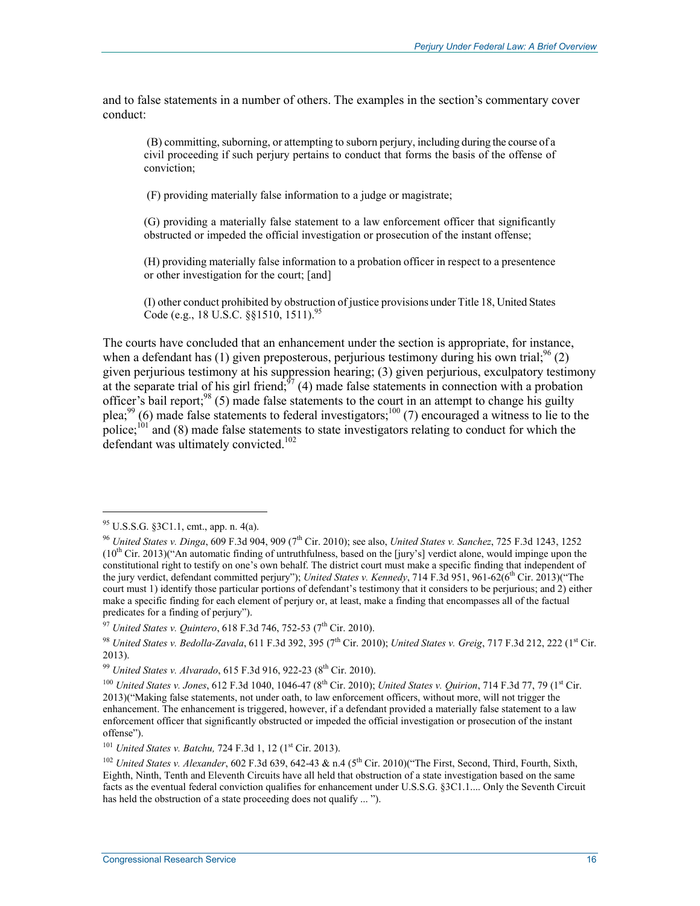and to false statements in a number of others. The examples in the section's commentary cover conduct:

 (B) committing, suborning, or attempting to suborn perjury, including during the course of a civil proceeding if such perjury pertains to conduct that forms the basis of the offense of conviction;

(F) providing materially false information to a judge or magistrate;

(G) providing a materially false statement to a law enforcement officer that significantly obstructed or impeded the official investigation or prosecution of the instant offense;

(H) providing materially false information to a probation officer in respect to a presentence or other investigation for the court; [and]

(I) other conduct prohibited by obstruction of justice provisions under Title 18, United States Code (e.g., 18 U.S.C. §§1510, 1511).<sup>95</sup>

The courts have concluded that an enhancement under the section is appropriate, for instance, when a defendant has (1) given preposterous, perjurious testimony during his own trial;<sup>96</sup> (2) given perjurious testimony at his suppression hearing; (3) given perjurious, exculpatory testimony at the separate trial of his girl friend; $\frac{37}{4}$  (4) made false statements in connection with a probation officer's bail report;<sup>98</sup> (5) made false statements to the court in an attempt to change his guilty plea;<sup>99</sup> (6) made false statements to federal investigators;<sup>100</sup> (7) encouraged a witness to lie to the police;<sup>101</sup> and (8) made false statements to state investigators relating to conduct for which the defendant was ultimately convicted.<sup>102</sup>

 $95$  U.S.S.G. §3C1.1, cmt., app. n. 4(a).

<sup>96</sup> *United States v. Dinga*, 609 F.3d 904, 909 (7th Cir. 2010); see also, *United States v. Sanchez*, 725 F.3d 1243, 1252  $(10<sup>th</sup> Cir. 2013)'$  "An automatic finding of untruthfulness, based on the [jury's] verdict alone, would impinge upon the constitutional right to testify on one's own behalf. The district court must make a specific finding that independent of the jury verdict, defendant committed perjury"); *United States v. Kennedy*, 714 F.3d 951, 961-62(6<sup>th</sup> Cir. 2013)("The court must 1) identify those particular portions of defendant's testimony that it considers to be perjurious; and 2) either make a specific finding for each element of perjury or, at least, make a finding that encompasses all of the factual predicates for a finding of perjury").

<sup>&</sup>lt;sup>97</sup> *United States v. Quintero*, 618 F.3d 746, 752-53 (7<sup>th</sup> Cir. 2010).

<sup>&</sup>lt;sup>98</sup> *United States v. Bedolla-Zavala*, 611 F.3d 392, 395 (7<sup>th</sup> Cir. 2010); *United States v. Greig*, 717 F.3d 212, 222 (1<sup>st</sup> Cir. 2013).

<sup>99</sup> *United States v. Alvarado*, 615 F.3d 916, 922-23 (8th Cir. 2010).

<sup>100</sup> *United States v. Jones*, 612 F.3d 1040, 1046-47 (8th Cir. 2010); *United States v. Quirion*, 714 F.3d 77, 79 (1st Cir. 2013)("Making false statements, not under oath, to law enforcement officers, without more, will not trigger the enhancement. The enhancement is triggered, however, if a defendant provided a materially false statement to a law enforcement officer that significantly obstructed or impeded the official investigation or prosecution of the instant offense").

<sup>&</sup>lt;sup>101</sup> *United States v. Batchu,* 724 F.3d 1, 12 (1<sup>st</sup> Cir. 2013).

<sup>&</sup>lt;sup>102</sup> *United States v. Alexander*, 602 F.3d 639, 642-43 & n.4 (5<sup>th</sup> Cir. 2010)("The First, Second, Third, Fourth, Sixth, Eighth, Ninth, Tenth and Eleventh Circuits have all held that obstruction of a state investigation based on the same facts as the eventual federal conviction qualifies for enhancement under U.S.S.G. §3C1.1.... Only the Seventh Circuit has held the obstruction of a state proceeding does not qualify ... ").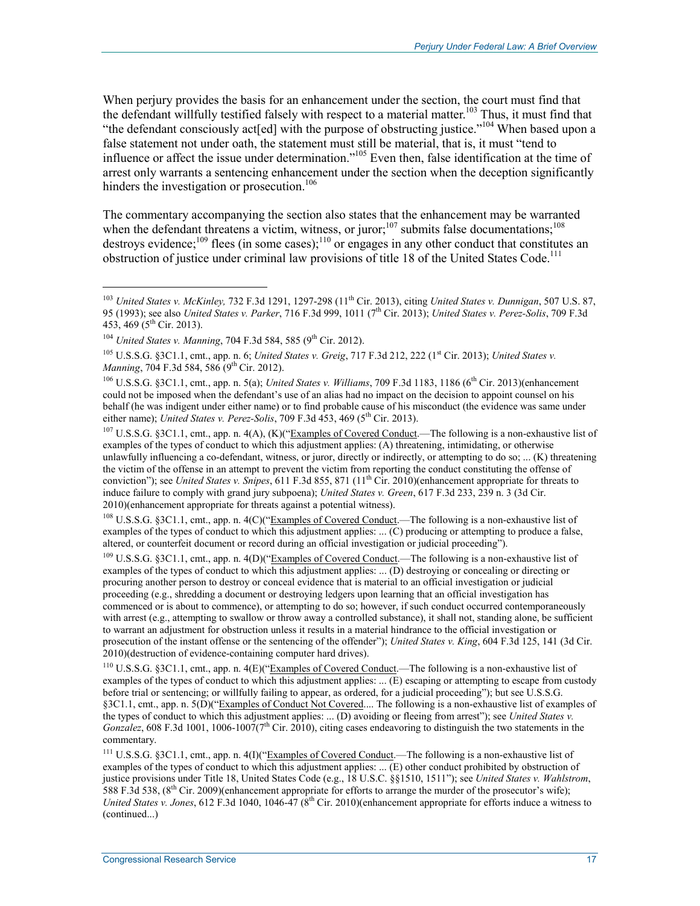When perjury provides the basis for an enhancement under the section, the court must find that the defendant willfully testified falsely with respect to a material matter.<sup>103</sup> Thus, it must find that "the defendant consciously act[ed] with the purpose of obstructing justice."<sup>104</sup> When based upon a false statement not under oath, the statement must still be material, that is, it must "tend to influence or affect the issue under determination."105 Even then, false identification at the time of arrest only warrants a sentencing enhancement under the section when the deception significantly hinders the investigation or prosecution.<sup>106</sup>

The commentary accompanying the section also states that the enhancement may be warranted when the defendant threatens a victim, witness, or juror;<sup>107</sup> submits false documentations;<sup>108</sup> destroys evidence;<sup>109</sup> flees (in some cases);<sup>110</sup> or engages in any other conduct that constitutes an obstruction of justice under criminal law provisions of title 18 of the United States Code.<sup>111</sup>

 $\overline{a}$ 

<sup>107</sup> U.S.S.G. §3C1.1, cmt., app. n. 4(A), (K)("Examples of Covered Conduct.—The following is a non-exhaustive list of examples of the types of conduct to which this adjustment applies: (A) threatening, intimidating, or otherwise unlawfully influencing a co-defendant, witness, or juror, directly or indirectly, or attempting to do so; ... (K) threatening the victim of the offense in an attempt to prevent the victim from reporting the conduct constituting the offense of conviction"); see *United States v. Snipes*, 611 F.3d 855, 871 ( $11<sup>th</sup>$  Cir. 2010)(enhancement appropriate for threats to induce failure to comply with grand jury subpoena); *United States v. Green*, 617 F.3d 233, 239 n. 3 (3d Cir. 2010)(enhancement appropriate for threats against a potential witness).

<sup>108</sup> U.S.S.G. §3C1.1, cmt., app. n. 4(C)("Examples of Covered Conduct.—The following is a non-exhaustive list of examples of the types of conduct to which this adjustment applies: ... (C) producing or attempting to produce a false, altered, or counterfeit document or record during an official investigation or judicial proceeding").

<sup>109</sup> U.S.S.G. §3C1.1, cmt., app. n. 4(D)("Examples of Covered Conduct.—The following is a non-exhaustive list of examples of the types of conduct to which this adjustment applies: ... (D) destroying or concealing or directing or procuring another person to destroy or conceal evidence that is material to an official investigation or judicial proceeding (e.g., shredding a document or destroying ledgers upon learning that an official investigation has commenced or is about to commence), or attempting to do so; however, if such conduct occurred contemporaneously with arrest (e.g., attempting to swallow or throw away a controlled substance), it shall not, standing alone, be sufficient to warrant an adjustment for obstruction unless it results in a material hindrance to the official investigation or prosecution of the instant offense or the sentencing of the offender"); *United States v. King*, 604 F.3d 125, 141 (3d Cir. 2010)(destruction of evidence-containing computer hard drives).

110 U.S.S.G. §3C1.1, cmt., app. n. 4(E)("Examples of Covered Conduct.—The following is a non-exhaustive list of examples of the types of conduct to which this adjustment applies: ... (E) escaping or attempting to escape from custody before trial or sentencing; or willfully failing to appear, as ordered, for a judicial proceeding"); but see U.S.S.G. §3C1.1, cmt., app. n. 5(D)("Examples of Conduct Not Covered.... The following is a non-exhaustive list of examples of the types of conduct to which this adjustment applies: ... (D) avoiding or fleeing from arrest"); see *United States v. Gonzalez*, 608 F.3d 1001, 1006-1007(7<sup>th</sup> Cir. 2010), citing cases endeavoring to distinguish the two statements in the commentary.

111 U.S.S.G. §3C1.1, cmt., app. n. 4(I)("Examples of Covered Conduct.—The following is a non-exhaustive list of examples of the types of conduct to which this adjustment applies: ... (E) other conduct prohibited by obstruction of justice provisions under Title 18, United States Code (e.g., 18 U.S.C. §§1510, 1511"); see *United States v. Wahlstrom*, 588 F.3d 538, (8<sup>th</sup> Cir. 2009)(enhancement appropriate for efforts to arrange the murder of the prosecutor's wife); *United States v. Jones*, 612 F.3d 1040, 1046-47 (8<sup>th</sup> Cir. 2010)(enhancement appropriate for efforts induce a witness to (continued...)

<sup>&</sup>lt;sup>103</sup> *United States v. McKinley, 732 F.3d 1291, 1297-298 (11<sup>th</sup> Cir. 2013), citing <i>United States v. Dunnigan*, 507 U.S. 87, 95 (1993); see also *United States v. Parker*, 716 F.3d 999, 1011 (7th Cir. 2013); *United States v. Perez-Solis*, 709 F.3d 453, 469 ( $5^{th}$  Cir. 2013).

<sup>&</sup>lt;sup>104</sup> *United States v. Manning*, 704 F.3d 584, 585 (9<sup>th</sup> Cir. 2012).

<sup>&</sup>lt;sup>105</sup> U.S.S.G. §3C1.1, cmt., app. n. 6; *United States v. Greig*, 717 F.3d 212, 222 (1<sup>st</sup> Cir. 2013); *United States v. Manning*, 704 F.3d 584, 586 (9<sup>th</sup> Cir. 2012).

<sup>&</sup>lt;sup>106</sup> U.S.S.G. §3C1.1, cmt., app. n. 5(a); *United States v. Williams*, 709 F.3d 1183, 1186 (6<sup>th</sup> Cir. 2013)(enhancement could not be imposed when the defendant's use of an alias had no impact on the decision to appoint counsel on his behalf (he was indigent under either name) or to find probable cause of his misconduct (the evidence was same under either name); *United States v. Perez-Solis*, 709 F.3d 453, 469 (5<sup>th</sup> Cir. 2013).